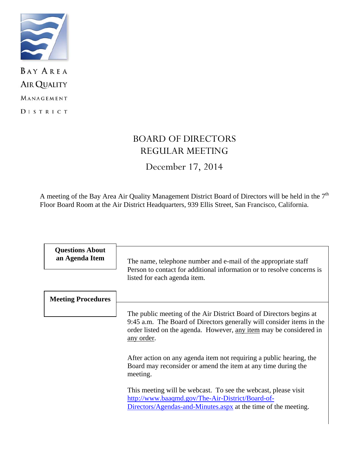

**BAY AREA AIR QUALITY** MANAGEMENT DISTRICT

# BOARD OF DIRECTORS REGULAR MEETING

December 17, 2014

A meeting of the Bay Area Air Quality Management District Board of Directors will be held in the 7<sup>th</sup> Floor Board Room at the Air District Headquarters, 939 Ellis Street, San Francisco, California.

| <b>Questions About</b><br>an Agenda Item | The name, telephone number and e-mail of the appropriate staff<br>Person to contact for additional information or to resolve concerns is<br>listed for each agenda item.                                                                 |
|------------------------------------------|------------------------------------------------------------------------------------------------------------------------------------------------------------------------------------------------------------------------------------------|
| <b>Meeting Procedures</b>                |                                                                                                                                                                                                                                          |
|                                          | The public meeting of the Air District Board of Directors begins at<br>9:45 a.m. The Board of Directors generally will consider items in the<br>order listed on the agenda. However, any item may be considered in<br><u>any order</u> . |
|                                          | After action on any agenda item not requiring a public hearing, the<br>Board may reconsider or amend the item at any time during the<br>meeting.                                                                                         |
|                                          | This meeting will be webcast. To see the webcast, please visit<br>http://www.baaqmd.gov/The-Air-District/Board-of-<br>Directors/Agendas-and-Minutes.aspx at the time of the meeting.                                                     |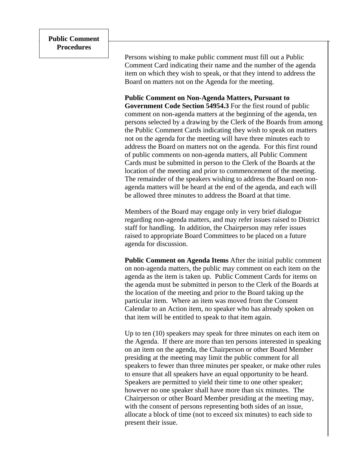Persons wishing to make public comment must fill out a Public Comment Card indicating their name and the number of the agenda item on which they wish to speak, or that they intend to address the Board on matters not on the Agenda for the meeting.

**Public Comment on Non-Agenda Matters, Pursuant to Government Code Section 54954.3** For the first round of public comment on non-agenda matters at the beginning of the agenda, ten persons selected by a drawing by the Clerk of the Boards from among the Public Comment Cards indicating they wish to speak on matters not on the agenda for the meeting will have three minutes each to address the Board on matters not on the agenda. For this first round of public comments on non-agenda matters, all Public Comment Cards must be submitted in person to the Clerk of the Boards at the location of the meeting and prior to commencement of the meeting. The remainder of the speakers wishing to address the Board on nonagenda matters will be heard at the end of the agenda, and each will be allowed three minutes to address the Board at that time.

Members of the Board may engage only in very brief dialogue regarding non-agenda matters, and may refer issues raised to District staff for handling. In addition, the Chairperson may refer issues raised to appropriate Board Committees to be placed on a future agenda for discussion.

**Public Comment on Agenda Items** After the initial public comment on non-agenda matters, the public may comment on each item on the agenda as the item is taken up. Public Comment Cards for items on the agenda must be submitted in person to the Clerk of the Boards at the location of the meeting and prior to the Board taking up the particular item. Where an item was moved from the Consent Calendar to an Action item, no speaker who has already spoken on that item will be entitled to speak to that item again.

Up to ten (10) speakers may speak for three minutes on each item on the Agenda. If there are more than ten persons interested in speaking on an item on the agenda, the Chairperson or other Board Member presiding at the meeting may limit the public comment for all speakers to fewer than three minutes per speaker, or make other rules to ensure that all speakers have an equal opportunity to be heard. Speakers are permitted to yield their time to one other speaker; however no one speaker shall have more than six minutes. The Chairperson or other Board Member presiding at the meeting may, with the consent of persons representing both sides of an issue, allocate a block of time (not to exceed six minutes) to each side to present their issue.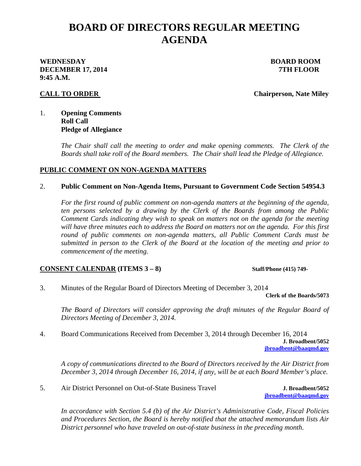# **BOARD OF DIRECTORS REGULAR MEETING AGENDA**

## **WEDNESDAY BOARD ROOM DECEMBER 17, 2014** *TTH FLOOR* **9:45 A.M.**

**CALL TO ORDER** Chairperson, Nate Miley

## 1. **Opening Comments Roll Call Pledge of Allegiance**

*The Chair shall call the meeting to order and make opening comments. The Clerk of the Boards shall take roll of the Board members. The Chair shall lead the Pledge of Allegiance.* 

## **PUBLIC COMMENT ON NON-AGENDA MATTERS**

## 2. **Public Comment on Non-Agenda Items, Pursuant to Government Code Section 54954.3**

*For the first round of public comment on non-agenda matters at the beginning of the agenda, ten persons selected by a drawing by the Clerk of the Boards from among the Public Comment Cards indicating they wish to speak on matters not on the agenda for the meeting will have three minutes each to address the Board on matters not on the agenda. For this first round of public comments on non-agenda matters, all Public Comment Cards must be submitted in person to the Clerk of the Board at the location of the meeting and prior to commencement of the meeting.* 

## **CONSENT CALENDAR (ITEMS 3 – 8)** Staff/Phone (415) 749-

3. Minutes of the Regular Board of Directors Meeting of December 3, 2014

**Clerk of the Boards/5073**

 *The Board of Directors will consider approving the draft minutes of the Regular Board of Directors Meeting of December 3, 2014.* 

4. Board Communications Received from December 3, 2014 through December 16, 2014 **J. Broadbent/5052 jbroadbent@baaqmd.gov** 

 *A copy of communications directed to the Board of Directors received by the Air District from December 3, 2014 through December 16, 2014, if any, will be at each Board Member's place.* 

5. Air District Personnel on Out-of-State Business Travel **J. Broadbent/5052**

**jbroadbent@baaqmd.gov** 

*In accordance with Section 5.4 (b) of the Air District's Administrative Code, Fiscal Policies and Procedures Section, the Board is hereby notified that the attached memorandum lists Air District personnel who have traveled on out-of-state business in the preceding month.*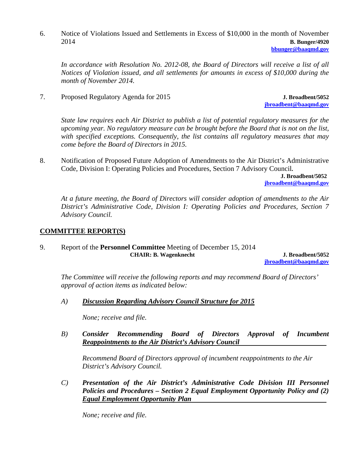6. Notice of Violations Issued and Settlements in Excess of \$10,000 in the month of November 2014 **B. Bunger/4920**

**bbunger@baaqmd.gov**

*In accordance with Resolution No. 2012-08, the Board of Directors will receive a list of all Notices of Violation issued, and all settlements for amounts in excess of \$10,000 during the month of November 2014.* 

7. Proposed Regulatory Agenda for 2015 **J. Broadbent/5052**

**jbroadbent@baaqmd.gov**

*State law requires each Air District to publish a list of potential regulatory measures for the upcoming year. No regulatory measure can be brought before the Board that is not on the list, with specified exceptions. Consequently, the list contains all regulatory measures that may come before the Board of Directors in 2015.*

8. Notification of Proposed Future Adoption of Amendments to the Air District's Administrative Code, Division I: Operating Policies and Procedures, Section 7 Advisory Council**.**

> **J. Broadbent/5052 jbroadbent@baaqmd.gov**

*At a future meeting, the Board of Directors will consider adoption of amendments to the Air District's Administrative Code, Division I: Operating Policies and Procedures, Section 7 Advisory Council.*

## **COMMITTEE REPORT(S)**

9. Report of the **Personnel Committee** Meeting of December 15, 2014  **CHAIR: B. Wagenknecht J. Broadbent/5052** 

**jbroadbent@baaqmd.gov**

*The Committee will receive the following reports and may recommend Board of Directors' approval of action items as indicated below:* 

*A) Discussion Regarding Advisory Council Structure for 2015* 

 *None; receive and file.* 

*B) Consider Recommending Board of Directors Approval of Incumbent Reappointments to the Air District's Advisory Council* 

*Recommend Board of Directors approval of incumbent reappointments to the Air District's Advisory Council.* 

*C) Presentation of the Air District's Administrative Code Division III Personnel Policies and Procedures – Section 2 Equal Employment Opportunity Policy and (2) Equal Employment Opportunity Plan* 

 *None; receive and file.*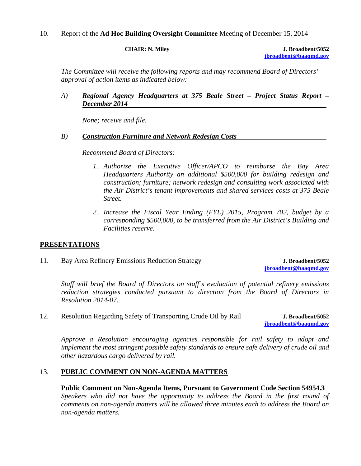## 10. Report of the **Ad Hoc Building Oversight Committee** Meeting of December 15, 2014

**CHAIR: N. Miley J. Broadbent/5052 jbroadbent@baaqmd.gov**

*The Committee will receive the following reports and may recommend Board of Directors' approval of action items as indicated below:* 

*A) Regional Agency Headquarters at 375 Beale Street – Project Status Report – December 2014* 

 *None; receive and file.* 

#### *B) Construction Furniture and Network Redesign Costs*

*Recommend Board of Directors:* 

- *1. Authorize the Executive Officer/APCO to reimburse the Bay Area Headquarters Authority an additional \$500,000 for building redesign and construction; furniture; network redesign and consulting work associated with the Air District's tenant improvements and shared services costs at 375 Beale Street.*
- *2. Increase the Fiscal Year Ending (FYE) 2015, Program 702, budget by a corresponding \$500,000, to be transferred from the Air District's Building and Facilities reserve.*

## **PRESENTATIONS**

11. Bay Area Refinery Emissions Reduction Strategy **J. Broadbent/5052**

**jbroadbent@baaqmd.gov**

*Staff will brief the Board of Directors on staff's evaluation of potential refinery emissions reduction strategies conducted pursuant to direction from the Board of Directors in Resolution 2014-07.* 

12. Resolution Regarding Safety of Transporting Crude Oil by Rail **J. Broadbent/5052**

**jbroadbent@baaqmd.gov**

*Approve a Resolution encouraging agencies responsible for rail safety to adopt and implement the most stringent possible safety standards to ensure safe delivery of crude oil and other hazardous cargo delivered by rail.* 

## 13. **PUBLIC COMMENT ON NON-AGENDA MATTERS**

**Public Comment on Non-Agenda Items, Pursuant to Government Code Section 54954.3**  *Speakers who did not have the opportunity to address the Board in the first round of comments on non-agenda matters will be allowed three minutes each to address the Board on non-agenda matters.*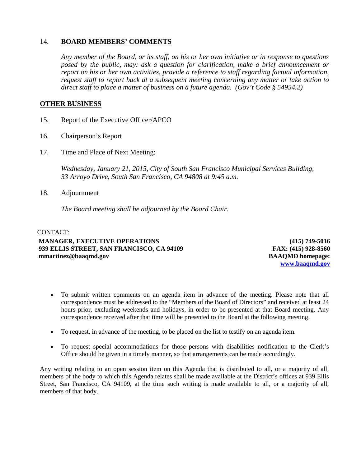## 14. **BOARD MEMBERS' COMMENTS**

*Any member of the Board, or its staff, on his or her own initiative or in response to questions posed by the public, may: ask a question for clarification, make a brief announcement or report on his or her own activities, provide a reference to staff regarding factual information, request staff to report back at a subsequent meeting concerning any matter or take action to direct staff to place a matter of business on a future agenda. (Gov't Code § 54954.2)* 

## **OTHER BUSINESS**

- 15. Report of the Executive Officer/APCO
- 16. Chairperson's Report
- 17. Time and Place of Next Meeting:

*Wednesday, January 21, 2015, City of South San Francisco Municipal Services Building, 33 Arroyo Drive, South San Francisco, CA 94808 at 9:45 a.m.* 

18. Adjournment

*The Board meeting shall be adjourned by the Board Chair.* 

#### CONTACT: **MANAGER, EXECUTIVE OPERATIONS 939 ELLIS STREET, SAN FRANCISCO, CA 94109 mmartinez@baaqmd.gov**

**(415) 749-5016 FAX: (415) 928-8560 BAAQMD homepage: www.baaqmd.gov**

- To submit written comments on an agenda item in advance of the meeting. Please note that all correspondence must be addressed to the "Members of the Board of Directors" and received at least 24 hours prior, excluding weekends and holidays, in order to be presented at that Board meeting. Any correspondence received after that time will be presented to the Board at the following meeting.
- To request, in advance of the meeting, to be placed on the list to testify on an agenda item.
- To request special accommodations for those persons with disabilities notification to the Clerk's Office should be given in a timely manner, so that arrangements can be made accordingly.

Any writing relating to an open session item on this Agenda that is distributed to all, or a majority of all, members of the body to which this Agenda relates shall be made available at the District's offices at 939 Ellis Street, San Francisco, CA 94109, at the time such writing is made available to all, or a majority of all, members of that body.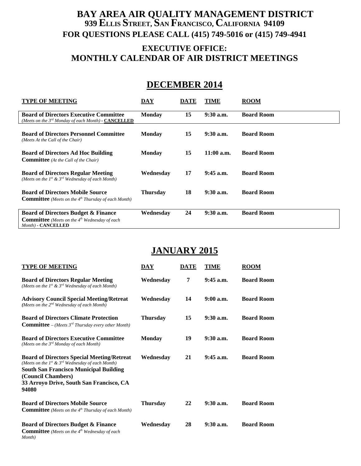## **BAY AREA AIR QUALITY MANAGEMENT DISTRICT 939 ELLIS STREET, SAN FRANCISCO, CALIFORNIA 94109 FOR QUESTIONS PLEASE CALL (415) 749-5016 or (415) 749-4941**

## **EXECUTIVE OFFICE: MONTHLY CALENDAR OF AIR DISTRICT MEETINGS**

# **DECEMBER 2014**

| <b>TYPE OF MEETING</b>                                                                                                         | DAY             | <b>DATE</b> | TIME         | <b>ROOM</b>       |
|--------------------------------------------------------------------------------------------------------------------------------|-----------------|-------------|--------------|-------------------|
| <b>Board of Directors Executive Committee</b><br>(Meets on the $3^{rd}$ Monday of each Month) - CANCELLED                      | <b>Monday</b>   | 15          | 9:30 a.m.    | <b>Board Room</b> |
| <b>Board of Directors Personnel Committee</b><br>(Meets At the Call of the Chair)                                              | <b>Monday</b>   | 15          | $9:30$ a.m.  | <b>Board Room</b> |
| <b>Board of Directors Ad Hoc Building</b><br><b>Committee</b> (At the Call of the Chair)                                       | <b>Monday</b>   | 15          | $11:00$ a.m. | <b>Board Room</b> |
| <b>Board of Directors Regular Meeting</b><br>(Meets on the $1^{st}$ & $3^{rd}$ Wednesday of each Month)                        | Wednesday       | 17          | $9:45$ a.m.  | <b>Board Room</b> |
| <b>Board of Directors Mobile Source</b><br><b>Committee</b> (Meets on the $4th$ Thursday of each Month)                        | <b>Thursday</b> | 18          | $9:30$ a.m.  | <b>Board Room</b> |
| <b>Board of Directors Budget &amp; Finance</b><br><b>Committee</b> (Meets on the $4th$ Wednesday of each<br>Month) - CANCELLED | Wednesdav       | 24          | $9:30$ a.m.  | <b>Board Room</b> |

# **JANUARY 2015**

| <b>TYPE OF MEETING</b>                                                                                                                                                                                                                      | DAY             | <b>DATE</b> | TIME        | <b>ROOM</b>       |
|---------------------------------------------------------------------------------------------------------------------------------------------------------------------------------------------------------------------------------------------|-----------------|-------------|-------------|-------------------|
| <b>Board of Directors Regular Meeting</b><br>(Meets on the $Ist$ & $3rd$ Wednesday of each Month)                                                                                                                                           | Wednesday       | 7           | $9:45$ a.m. | <b>Board Room</b> |
| <b>Advisory Council Special Meeting/Retreat</b><br>(Meets on the $2^{nd}$ Wednesday of each Month)                                                                                                                                          | Wednesday       | 14          | $9:00$ a.m. | <b>Board Room</b> |
| <b>Board of Directors Climate Protection</b><br><b>Committee</b> – (Meets $3^{rd}$ Thursday every other Month)                                                                                                                              | <b>Thursday</b> | 15          | $9:30$ a.m. | <b>Board Room</b> |
| <b>Board of Directors Executive Committee</b><br>(Meets on the $3^{rd}$ Monday of each Month)                                                                                                                                               | <b>Monday</b>   | 19          | $9:30$ a.m. | <b>Board Room</b> |
| <b>Board of Directors Special Meeting/Retreat</b><br>(Meets on the $1^{st}$ & $3^{rd}$ Wednesday of each Month)<br><b>South San Francisco Municipal Building</b><br>(Council Chambers)<br>33 Arroyo Drive, South San Francisco, CA<br>94080 | Wednesday       | 21          | $9:45$ a.m. | <b>Board Room</b> |
| <b>Board of Directors Mobile Source</b><br><b>Committee</b> (Meets on the 4 <sup>th</sup> Thursday of each Month)                                                                                                                           | Thursday        | 22          | $9:30$ a.m. | <b>Board Room</b> |
| <b>Board of Directors Budget &amp; Finance</b><br><b>Committee</b> (Meets on the 4 <sup>th</sup> Wednesday of each<br>Month)                                                                                                                | Wednesday       | 28          | $9:30$ a.m. | <b>Board Room</b> |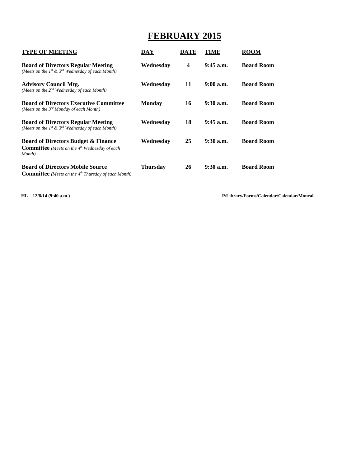# **FEBRUARY 2015**

| <b>TYPE OF MEETING</b>                                                                                                | DAY           | DATE | TIME        | ROOM              |
|-----------------------------------------------------------------------------------------------------------------------|---------------|------|-------------|-------------------|
| <b>Board of Directors Regular Meeting</b><br>(Meets on the $1^{st}$ & $3^{rd}$ Wednesday of each Month)               | Wednesday     | 4    | $9:45$ a.m. | <b>Board Room</b> |
| <b>Advisory Council Mtg.</b><br>(Meets on the $2^{nd}$ Wednesday of each Month)                                       | Wednesday     | 11   | $9:00$ a.m. | <b>Board Room</b> |
| <b>Board of Directors Executive Committee</b><br>(Meets on the $3^{rd}$ Monday of each Month)                         | <b>Monday</b> | 16   | $9:30$ a.m. | <b>Board Room</b> |
| <b>Board of Directors Regular Meeting</b><br>(Meets on the 1 <sup>st</sup> & 3 <sup>rd</sup> Wednesday of each Month) | Wednesdav     | 18   | $9:45$ a.m. | <b>Board Room</b> |
| <b>Board of Directors Budget &amp; Finance</b><br><b>Committee</b> (Meets on the $4th$ Wednesday of each<br>Month)    | Wednesday     | 25   | $9:30$ a.m. | <b>Board Room</b> |
| <b>Board of Directors Mobile Source</b><br><b>Committee</b> (Meets on the $4th$ Thursday of each Month)               | Thursday      | 26   | $9:30$ a.m. | <b>Board Room</b> |

**HL – 12/8/14 (9:40 a.m.) P/Library/Forms/Calendar/Calendar/Moncal**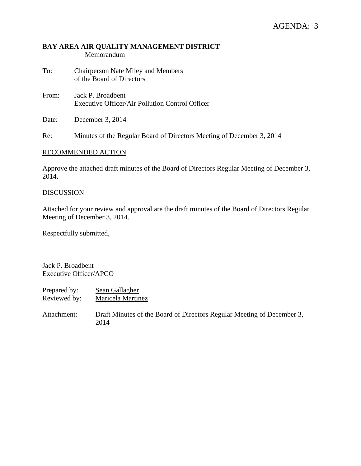## **BAY AREA AIR QUALITY MANAGEMENT DISTRICT**  Memorandum

- To: Chairperson Nate Miley and Members of the Board of Directors
- From: Jack P. Broadbent Executive Officer/Air Pollution Control Officer
- Date: December 3, 2014

Re: Minutes of the Regular Board of Directors Meeting of December 3, 2014

## RECOMMENDED ACTION

Approve the attached draft minutes of the Board of Directors Regular Meeting of December 3, 2014.

#### **DISCUSSION**

Attached for your review and approval are the draft minutes of the Board of Directors Regular Meeting of December 3, 2014.

Respectfully submitted,

Jack P. Broadbent Executive Officer/APCO

| Prepared by: | Sean Gallagher                                                                 |
|--------------|--------------------------------------------------------------------------------|
| Reviewed by: | Maricela Martinez                                                              |
| Attachment:  | Draft Minutes of the Board of Directors Regular Meeting of December 3,<br>2014 |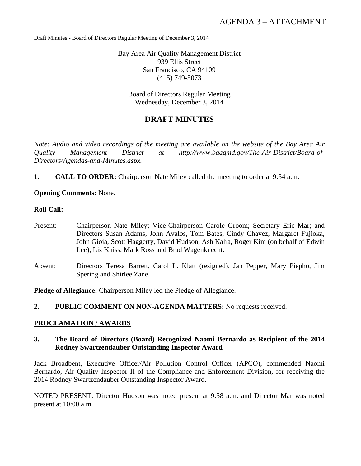Draft Minutes - Board of Directors Regular Meeting of December 3, 2014

Bay Area Air Quality Management District 939 Ellis Street San Francisco, CA 94109 (415) 749-5073

Board of Directors Regular Meeting Wednesday, December 3, 2014

## **DRAFT MINUTES**

*Note: Audio and video recordings of the meeting are available on the website of the Bay Area Air Quality Management District at http://www.baaqmd.gov/The-Air-District/Board-of-Directors/Agendas-and-Minutes.aspx.* 

**1. CALL TO ORDER:** Chairperson Nate Miley called the meeting to order at 9:54 a.m.

**Opening Comments:** None.

## **Roll Call:**

- Present: Chairperson Nate Miley; Vice-Chairperson Carole Groom; Secretary Eric Mar; and Directors Susan Adams, John Avalos, Tom Bates, Cindy Chavez, Margaret Fujioka, John Gioia, Scott Haggerty, David Hudson, Ash Kalra, Roger Kim (on behalf of Edwin Lee), Liz Kniss, Mark Ross and Brad Wagenknecht.
- Absent: Directors Teresa Barrett, Carol L. Klatt (resigned), Jan Pepper, Mary Piepho, Jim Spering and Shirlee Zane.

**Pledge of Allegiance:** Chairperson Miley led the Pledge of Allegiance.

**2. PUBLIC COMMENT ON NON-AGENDA MATTERS:** No requests received.

## **PROCLAMATION / AWARDS**

**3. The Board of Directors (Board) Recognized Naomi Bernardo as Recipient of the 2014 Rodney Swartzendauber Outstanding Inspector Award** 

Jack Broadbent, Executive Officer/Air Pollution Control Officer (APCO), commended Naomi Bernardo, Air Quality Inspector II of the Compliance and Enforcement Division, for receiving the 2014 Rodney Swartzendauber Outstanding Inspector Award.

NOTED PRESENT: Director Hudson was noted present at 9:58 a.m. and Director Mar was noted present at 10:00 a.m.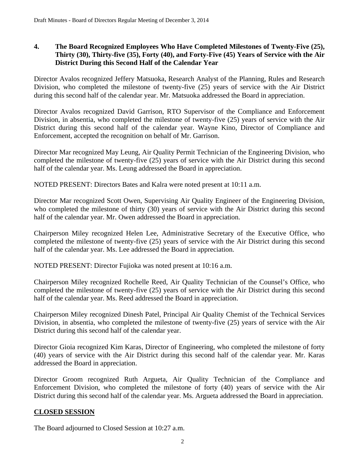## **4. The Board Recognized Employees Who Have Completed Milestones of Twenty-Five (25), Thirty (30), Thirty-five (35), Forty (40), and Forty-Five (45) Years of Service with the Air District During this Second Half of the Calendar Year**

Director Avalos recognized Jeffery Matsuoka, Research Analyst of the Planning, Rules and Research Division, who completed the milestone of twenty-five (25) years of service with the Air District during this second half of the calendar year. Mr. Matsuoka addressed the Board in appreciation.

Director Avalos recognized David Garrison, RTO Supervisor of the Compliance and Enforcement Division, in absentia, who completed the milestone of twenty-five (25) years of service with the Air District during this second half of the calendar year. Wayne Kino, Director of Compliance and Enforcement, accepted the recognition on behalf of Mr. Garrison.

Director Mar recognized May Leung, Air Quality Permit Technician of the Engineering Division, who completed the milestone of twenty-five (25) years of service with the Air District during this second half of the calendar year. Ms. Leung addressed the Board in appreciation.

NOTED PRESENT: Directors Bates and Kalra were noted present at 10:11 a.m.

Director Mar recognized Scott Owen, Supervising Air Quality Engineer of the Engineering Division, who completed the milestone of thirty (30) years of service with the Air District during this second half of the calendar year. Mr. Owen addressed the Board in appreciation.

Chairperson Miley recognized Helen Lee, Administrative Secretary of the Executive Office, who completed the milestone of twenty-five (25) years of service with the Air District during this second half of the calendar year. Ms. Lee addressed the Board in appreciation.

NOTED PRESENT: Director Fujioka was noted present at 10:16 a.m.

Chairperson Miley recognized Rochelle Reed, Air Quality Technician of the Counsel's Office, who completed the milestone of twenty-five (25) years of service with the Air District during this second half of the calendar year. Ms. Reed addressed the Board in appreciation.

Chairperson Miley recognized Dinesh Patel, Principal Air Quality Chemist of the Technical Services Division, in absentia, who completed the milestone of twenty-five (25) years of service with the Air District during this second half of the calendar year.

Director Gioia recognized Kim Karas, Director of Engineering, who completed the milestone of forty (40) years of service with the Air District during this second half of the calendar year. Mr. Karas addressed the Board in appreciation.

Director Groom recognized Ruth Argueta, Air Quality Technician of the Compliance and Enforcement Division, who completed the milestone of forty (40) years of service with the Air District during this second half of the calendar year. Ms. Argueta addressed the Board in appreciation.

## **CLOSED SESSION**

The Board adjourned to Closed Session at 10:27 a.m.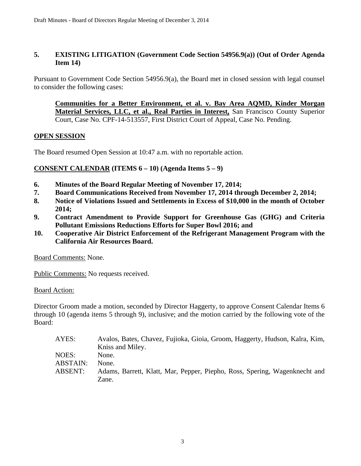## **5. EXISTING LITIGATION (Government Code Section 54956.9(a)) (Out of Order Agenda Item 14)**

Pursuant to Government Code Section 54956.9(a), the Board met in closed session with legal counsel to consider the following cases:

**Communities for a Better Environment, et al. v. Bay Area AQMD, Kinder Morgan Material Services, LLC, et al., Real Parties in Interest,** San Francisco County Superior Court, Case No. CPF-14-513557, First District Court of Appeal, Case No. Pending.

## **OPEN SESSION**

The Board resumed Open Session at 10:47 a.m. with no reportable action.

## **CONSENT CALENDAR (ITEMS 6 – 10) (Agenda Items 5 – 9)**

- **6. Minutes of the Board Regular Meeting of November 17, 2014;**
- **7. Board Communications Received from November 17, 2014 through December 2, 2014;**
- **8. Notice of Violations Issued and Settlements in Excess of \$10,000 in the month of October 2014;**
- **9. Contract Amendment to Provide Support for Greenhouse Gas (GHG) and Criteria Pollutant Emissions Reductions Efforts for Super Bowl 2016; and**
- **10. Cooperative Air District Enforcement of the Refrigerant Management Program with the California Air Resources Board.**

Board Comments: None.

Public Comments: No requests received.

Board Action:

Director Groom made a motion, seconded by Director Haggerty, to approve Consent Calendar Items 6 through 10 (agenda items 5 through 9), inclusive; and the motion carried by the following vote of the Board:

| AYES:    | Avalos, Bates, Chavez, Fujioka, Gioia, Groom, Haggerty, Hudson, Kalra, Kim, |
|----------|-----------------------------------------------------------------------------|
|          | Kniss and Miley.                                                            |
| NOES: \  | None.                                                                       |
| ABSTAIN: | None.                                                                       |
| ABSENT:  | Adams, Barrett, Klatt, Mar, Pepper, Piepho, Ross, Spering, Wagenknecht and  |
|          | Zane.                                                                       |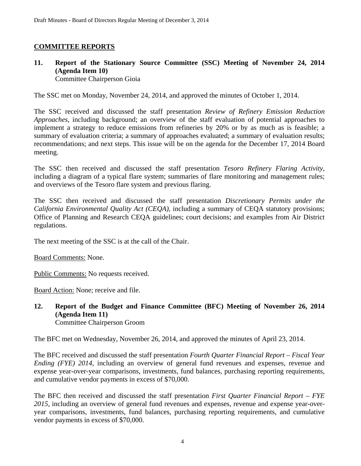## **COMMITTEE REPORTS**

## **11. Report of the Stationary Source Committee (SSC) Meeting of November 24, 2014 (Agenda Item 10)**  Committee Chairperson Gioia

The SSC met on Monday, November 24, 2014, and approved the minutes of October 1, 2014.

The SSC received and discussed the staff presentation *Review of Refinery Emission Reduction Approaches*, including background; an overview of the staff evaluation of potential approaches to implement a strategy to reduce emissions from refineries by 20% or by as much as is feasible; a summary of evaluation criteria; a summary of approaches evaluated; a summary of evaluation results; recommendations; and next steps. This issue will be on the agenda for the December 17, 2014 Board meeting.

The SSC then received and discussed the staff presentation *Tesoro Refinery Flaring Activity*, including a diagram of a typical flare system; summaries of flare monitoring and management rules; and overviews of the Tesoro flare system and previous flaring.

The SSC then received and discussed the staff presentation *Discretionary Permits under the California Environmental Quality Act (CEQA)*, including a summary of CEQA statutory provisions; Office of Planning and Research CEQA guidelines; court decisions; and examples from Air District regulations.

The next meeting of the SSC is at the call of the Chair.

Board Comments: None.

Public Comments: No requests received.

Board Action: None; receive and file.

**12. Report of the Budget and Finance Committee (BFC) Meeting of November 26, 2014 (Agenda Item 11)**  Committee Chairperson Groom

The BFC met on Wednesday, November 26, 2014, and approved the minutes of April 23, 2014.

The BFC received and discussed the staff presentation *Fourth Quarter Financial Report – Fiscal Year Ending (FYE) 2014*, including an overview of general fund revenues and expenses, revenue and expense year-over-year comparisons, investments, fund balances, purchasing reporting requirements, and cumulative vendor payments in excess of \$70,000.

The BFC then received and discussed the staff presentation *First Quarter Financial Report – FYE 2015*, including an overview of general fund revenues and expenses, revenue and expense year-overyear comparisons, investments, fund balances, purchasing reporting requirements, and cumulative vendor payments in excess of \$70,000.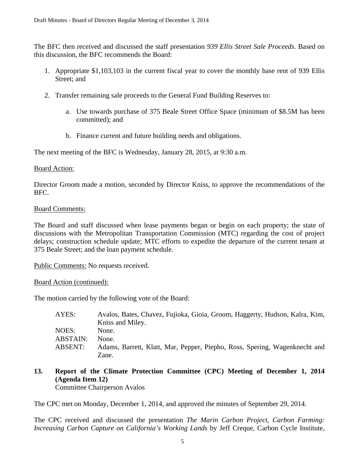The BFC then received and discussed the staff presentation *939 Ellis Street Sale Proceeds*. Based on this discussion, the BFC recommends the Board:

- 1. Appropriate \$1,103,103 in the current fiscal year to cover the monthly base rent of 939 Ellis Street; and
- 2. Transfer remaining sale proceeds to the General Fund Building Reserves to:
	- a. Use towards purchase of 375 Beale Street Office Space (minimum of \$8.5M has been committed); and
	- b. Finance current and future building needs and obligations.

The next meeting of the BFC is Wednesday, January 28, 2015, at 9:30 a.m.

## Board Action:

Director Groom made a motion, seconded by Director Kniss, to approve the recommendations of the BFC.

## Board Comments:

The Board and staff discussed when lease payments began or begin on each property; the state of discussions with the Metropolitan Transportation Commission (MTC) regarding the cost of project delays; construction schedule update; MTC efforts to expedite the departure of the current tenant at 375 Beale Street; and the loan payment schedule.

Public Comments: No requests received.

Board Action (continued):

The motion carried by the following vote of the Board:

| AYES:    | Avalos, Bates, Chavez, Fujioka, Gioia, Groom, Haggerty, Hudson, Kalra, Kim, |
|----------|-----------------------------------------------------------------------------|
|          | Kniss and Miley.                                                            |
| NOES:    | None.                                                                       |
| ABSTAIN: | None.                                                                       |
| ABSENT:  | Adams, Barrett, Klatt, Mar, Pepper, Piepho, Ross, Spering, Wagenknecht and  |
|          | Zane.                                                                       |

## **13. Report of the Climate Protection Committee (CPC) Meeting of December 1, 2014 (Agenda Item 12)**

Committee Chairperson Avalos

The CPC met on Monday, December 1, 2014, and approved the minutes of September 29, 2014.

The CPC received and discussed the presentation *The Marin Carbon Project, Carbon Farming: Increasing Carbon Capture on California's Working Lands* by Jeff Creque, Carbon Cycle Institute,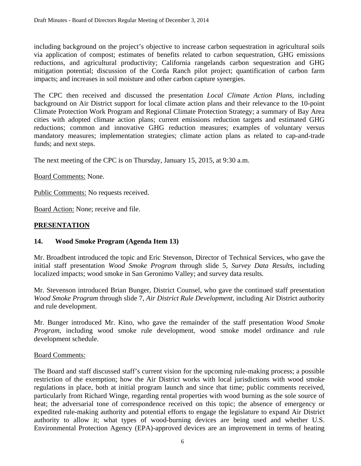including background on the project's objective to increase carbon sequestration in agricultural soils via application of compost; estimates of benefits related to carbon sequestration, GHG emissions reductions, and agricultural productivity; California rangelands carbon sequestration and GHG mitigation potential; discussion of the Corda Ranch pilot project; quantification of carbon farm impacts; and increases in soil moisture and other carbon capture synergies.

The CPC then received and discussed the presentation *Local Climate Action Plans*, including background on Air District support for local climate action plans and their relevance to the 10-point Climate Protection Work Program and Regional Climate Protection Strategy; a summary of Bay Area cities with adopted climate action plans; current emissions reduction targets and estimated GHG reductions; common and innovative GHG reduction measures; examples of voluntary versus mandatory measures; implementation strategies; climate action plans as related to cap-and-trade funds; and next steps.

The next meeting of the CPC is on Thursday, January 15, 2015, at 9:30 a.m.

Board Comments: None.

Public Comments: No requests received.

Board Action: None; receive and file.

## **PRESENTATION**

## **14. Wood Smoke Program (Agenda Item 13)**

Mr. Broadbent introduced the topic and Eric Stevenson, Director of Technical Services, who gave the initial staff presentation *Wood Smoke Program* through slide 5, *Survey Data Results*, including localized impacts; wood smoke in San Geronimo Valley; and survey data results.

Mr. Stevenson introduced Brian Bunger, District Counsel, who gave the continued staff presentation *Wood Smoke Program* through slide 7, *Air District Rule Development*, including Air District authority and rule development.

Mr. Bunger introduced Mr. Kino, who gave the remainder of the staff presentation *Wood Smoke Program*, including wood smoke rule development, wood smoke model ordinance and rule development schedule.

## Board Comments:

The Board and staff discussed staff's current vision for the upcoming rule-making process; a possible restriction of the exemption; how the Air District works with local jurisdictions with wood smoke regulations in place, both at initial program launch and since that time; public comments received, particularly from Richard Winge, regarding rental properties with wood burning as the sole source of heat; the adversarial tone of correspondence received on this topic; the absence of emergency or expedited rule-making authority and potential efforts to engage the legislature to expand Air District authority to allow it; what types of wood-burning devices are being used and whether U.S. Environmental Protection Agency (EPA)-approved devices are an improvement in terms of heating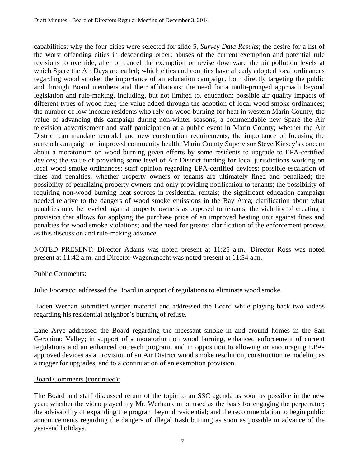capabilities; why the four cities were selected for slide 5, *Survey Data Results*; the desire for a list of the worst offending cities in descending order; abuses of the current exemption and potential rule revisions to override, alter or cancel the exemption or revise downward the air pollution levels at which Spare the Air Days are called; which cities and counties have already adopted local ordinances regarding wood smoke; the importance of an education campaign, both directly targeting the public and through Board members and their affiliations; the need for a multi-pronged approach beyond legislation and rule-making, including, but not limited to, education; possible air quality impacts of different types of wood fuel; the value added through the adoption of local wood smoke ordinances; the number of low-income residents who rely on wood burning for heat in western Marin County; the value of advancing this campaign during non-winter seasons; a commendable new Spare the Air television advertisement and staff participation at a public event in Marin County; whether the Air District can mandate remodel and new construction requirements; the importance of focusing the outreach campaign on improved community health; Marin County Supervisor Steve Kinsey's concern about a moratorium on wood burning given efforts by some residents to upgrade to EPA-certified devices; the value of providing some level of Air District funding for local jurisdictions working on local wood smoke ordinances; staff opinion regarding EPA-certified devices; possible escalation of fines and penalties; whether property owners or tenants are ultimately fined and penalized; the possibility of penalizing property owners and only providing notification to tenants; the possibility of requiring non-wood burning heat sources in residential rentals; the significant education campaign needed relative to the dangers of wood smoke emissions in the Bay Area; clarification about what penalties may be leveled against property owners as opposed to tenants; the viability of creating a provision that allows for applying the purchase price of an improved heating unit against fines and penalties for wood smoke violations; and the need for greater clarification of the enforcement process as this discussion and rule-making advance.

NOTED PRESENT: Director Adams was noted present at 11:25 a.m., Director Ross was noted present at 11:42 a.m. and Director Wagenknecht was noted present at 11:54 a.m.

## Public Comments:

Julio Focaracci addressed the Board in support of regulations to eliminate wood smoke.

Haden Werhan submitted written material and addressed the Board while playing back two videos regarding his residential neighbor's burning of refuse.

Lane Arye addressed the Board regarding the incessant smoke in and around homes in the San Geronimo Valley; in support of a moratorium on wood burning, enhanced enforcement of current regulations and an enhanced outreach program; and in opposition to allowing or encouraging EPAapproved devices as a provision of an Air District wood smoke resolution, construction remodeling as a trigger for upgrades, and to a continuation of an exemption provision.

## Board Comments (continued):

The Board and staff discussed return of the topic to an SSC agenda as soon as possible in the new year; whether the video played my Mr. Werhan can be used as the basis for engaging the perpetrator; the advisability of expanding the program beyond residential; and the recommendation to begin public announcements regarding the dangers of illegal trash burning as soon as possible in advance of the year-end holidays.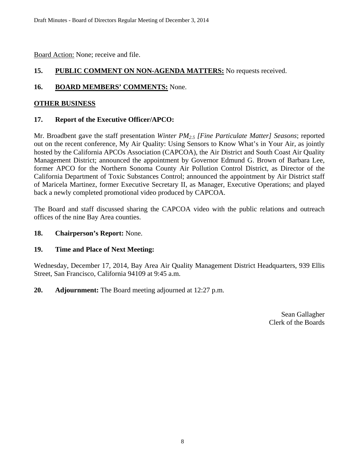Board Action: None; receive and file.

## **15. PUBLIC COMMENT ON NON-AGENDA MATTERS:** No requests received.

## 16. **BOARD MEMBERS' COMMENTS:** None.

## **OTHER BUSINESS**

## **17. Report of the Executive Officer/APCO:**

Mr. Broadbent gave the staff presentation *Winter PM2.5 [Fine Particulate Matter] Seasons*; reported out on the recent conference, My Air Quality: Using Sensors to Know What's in Your Air, as jointly hosted by the California APCOs Association (CAPCOA), the Air District and South Coast Air Quality Management District; announced the appointment by Governor Edmund G. Brown of Barbara Lee, former APCO for the Northern Sonoma County Air Pollution Control District, as Director of the California Department of Toxic Substances Control; announced the appointment by Air District staff of Maricela Martinez, former Executive Secretary II, as Manager, Executive Operations; and played back a newly completed promotional video produced by CAPCOA.

The Board and staff discussed sharing the CAPCOA video with the public relations and outreach offices of the nine Bay Area counties.

## **18. Chairperson's Report:** None.

## **19. Time and Place of Next Meeting:**

Wednesday, December 17, 2014, Bay Area Air Quality Management District Headquarters, 939 Ellis Street, San Francisco, California 94109 at 9:45 a.m.

**20. Adjournment:** The Board meeting adjourned at 12:27 p.m.

Sean Gallagher Clerk of the Boards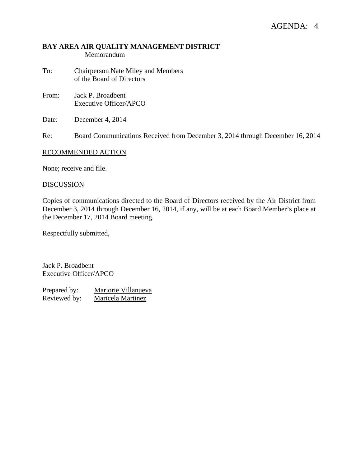## **BAY AREA AIR QUALITY MANAGEMENT DISTRICT**  Memorandum

- To: Chairperson Nate Miley and Members of the Board of Directors
- From: Jack P. Broadbent Executive Officer/APCO
- Date: December 4, 2014

Re: Board Communications Received from December 3, 2014 through December 16, 2014

## RECOMMENDED ACTION

None; receive and file.

#### **DISCUSSION**

Copies of communications directed to the Board of Directors received by the Air District from December 3, 2014 through December 16, 2014, if any, will be at each Board Member's place at the December 17, 2014 Board meeting.

Respectfully submitted,

Jack P. Broadbent Executive Officer/APCO

Prepared by: Marjorie Villanueva Reviewed by: Maricela Martinez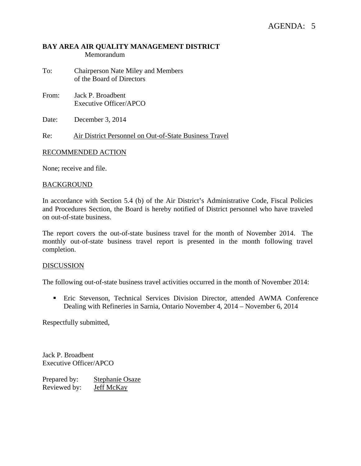## **BAY AREA AIR QUALITY MANAGEMENT DISTRICT**  Memorandum

- To: Chairperson Nate Miley and Members of the Board of Directors
- From: Jack P. Broadbent Executive Officer/APCO
- Date: December 3, 2014

Re: Air District Personnel on Out-of-State Business Travel

## RECOMMENDED ACTION

None; receive and file.

#### BACKGROUND

In accordance with Section 5.4 (b) of the Air District's Administrative Code, Fiscal Policies and Procedures Section, the Board is hereby notified of District personnel who have traveled on out-of-state business.

The report covers the out-of-state business travel for the month of November 2014. The monthly out-of-state business travel report is presented in the month following travel completion.

## DISCUSSION

The following out-of-state business travel activities occurred in the month of November 2014:

 Eric Stevenson, Technical Services Division Director, attended AWMA Conference Dealing with Refineries in Sarnia, Ontario November 4, 2014 – November 6, 2014

Respectfully submitted,

Jack P. Broadbent Executive Officer/APCO

Prepared by: Stephanie Osaze Reviewed by: Jeff McKay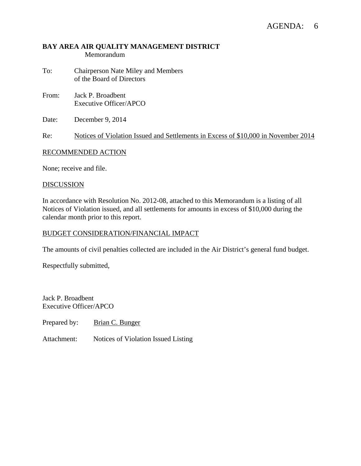## AGENDA: 6

## **BAY AREA AIR QUALITY MANAGEMENT DISTRICT**  Memorandum

- To: Chairperson Nate Miley and Members of the Board of Directors
- From: Jack P. Broadbent Executive Officer/APCO
- Date: December 9, 2014

Re: Notices of Violation Issued and Settlements in Excess of \$10,000 in November 2014

## RECOMMENDED ACTION

None; receive and file.

#### DISCUSSION

In accordance with Resolution No. 2012-08, attached to this Memorandum is a listing of all Notices of Violation issued, and all settlements for amounts in excess of \$10,000 during the calendar month prior to this report.

#### BUDGET CONSIDERATION/FINANCIAL IMPACT

The amounts of civil penalties collected are included in the Air District's general fund budget.

Respectfully submitted,

Jack P. Broadbent Executive Officer/APCO

Prepared by: Brian C. Bunger

Attachment: Notices of Violation Issued Listing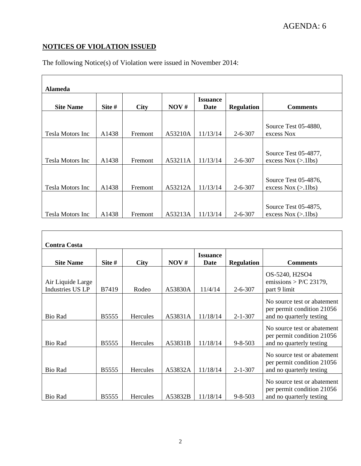## **NOTICES OF VIOLATION ISSUED**

| <b>Alameda</b>          |        |             |         |                         |                   |                                                |
|-------------------------|--------|-------------|---------|-------------------------|-------------------|------------------------------------------------|
| <b>Site Name</b>        | Site # | <b>City</b> | NOV#    | <b>Issuance</b><br>Date | <b>Regulation</b> | <b>Comments</b>                                |
| Tesla Motors Inc        | A1438  | Fremont     | A53210A | 11/13/14                | $2 - 6 - 307$     | Source Test 05-4880,<br>excess Nox             |
| Tesla Motors Inc        | A1438  | Fremont     | A53211A | 11/13/14                | $2 - 6 - 307$     | Source Test 05-4877,<br>excess $Nox \ (>11bs)$ |
| Tesla Motors Inc        | A1438  | Fremont     | A53212A | 11/13/14                | $2 - 6 - 307$     | Source Test 05-4876,<br>excess $Nox (>11bs)$   |
| <b>Tesla Motors Inc</b> | A1438  | Fremont     | A53213A | 11/13/14                | $2 - 6 - 307$     | Source Test 05-4875,<br>excess $Nox \ (>11bs)$ |

The following Notice(s) of Violation were issued in November 2014:

| <b>Contra Costa</b>                   |              |                 |         |                         |                   |                                                                                       |
|---------------------------------------|--------------|-----------------|---------|-------------------------|-------------------|---------------------------------------------------------------------------------------|
| <b>Site Name</b>                      | Site #       | <b>City</b>     | NOV#    | <b>Issuance</b><br>Date | <b>Regulation</b> | <b>Comments</b>                                                                       |
| Air Liquide Large<br>Industries US LP | B7419        | Rodeo           | A53830A | 11/4/14                 | $2 - 6 - 307$     | OS-5240, H2SO4<br>emissions > $P/C$ 23179,<br>part 9 limit                            |
| Bio Rad                               | <b>B5555</b> | <b>Hercules</b> | A53831A | 11/18/14                | $2 - 1 - 307$     | No source test or abatement<br>per permit condition 21056<br>and no quarterly testing |
| <b>Bio Rad</b>                        | <b>B5555</b> | Hercules        | A53831B | 11/18/14                | $9 - 8 - 503$     | No source test or abatement<br>per permit condition 21056<br>and no quarterly testing |
| Bio Rad                               | <b>B5555</b> | <b>Hercules</b> | A53832A | 11/18/14                | $2 - 1 - 307$     | No source test or abatement<br>per permit condition 21056<br>and no quarterly testing |
| <b>Bio Rad</b>                        | <b>B5555</b> | Hercules        | A53832B | 11/18/14                | $9 - 8 - 503$     | No source test or abatement<br>per permit condition 21056<br>and no quarterly testing |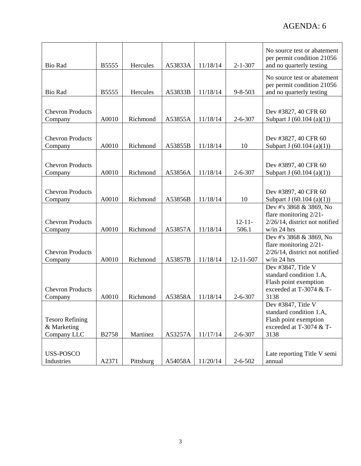| <b>Bio Rad</b>                                       | B5555        | Hercules  | A53833A | 11/18/14 | $2 - 1 - 307$        | No source test or abatement<br>per permit condition 21056<br>and no quarterly testing                     |
|------------------------------------------------------|--------------|-----------|---------|----------|----------------------|-----------------------------------------------------------------------------------------------------------|
| <b>Bio Rad</b>                                       | B5555        | Hercules  | A53833B | 11/18/14 | $9 - 8 - 503$        | No source test or abatement<br>per permit condition 21056<br>and no quarterly testing                     |
|                                                      |              |           |         |          |                      |                                                                                                           |
| <b>Chevron Products</b><br>Company                   | A0010        | Richmond  | A53855A | 11/18/14 | $2 - 6 - 307$        | Dev #3827, 40 CFR 60<br>Subpart J $(60.104 (a)(1))$                                                       |
| <b>Chevron Products</b><br>Company                   | A0010        | Richmond  | A53855B | 11/18/14 | 10                   | Dev #3827, 40 CFR 60<br>Subpart J $(60.104 (a)(1))$                                                       |
| <b>Chevron Products</b><br>Company                   | A0010        | Richmond  | A53856A | 11/18/14 | $2 - 6 - 307$        | Dev #3897, 40 CFR 60<br>Subpart J $(60.104 (a)(1))$                                                       |
| <b>Chevron Products</b><br>Company                   | A0010        | Richmond  | A53856B | 11/18/14 | 10                   | Dev #3897, 40 CFR 60<br>Subpart J (60.104 (a)(1))                                                         |
| <b>Chevron Products</b><br>Company                   | A0010        | Richmond  | A53857A | 11/18/14 | $12 - 11 -$<br>506.1 | Dev #'s 3868 & 3869, No<br>flare monitoring 2/21-<br>2/26/14, district not notified<br>w/in 24 hrs        |
| <b>Chevron Products</b><br>Company                   | A0010        | Richmond  | A53857B | 11/18/14 | 12-11-507            | Dev #'s 3868 & 3869, No<br>flare monitoring 2/21-<br>2/26/14, district not notified<br>w/in 24 hrs        |
| <b>Chevron Products</b><br>Company                   | A0010        | Richmond  | A53858A | 11/18/14 | $2 - 6 - 307$        | Dev #3847, Title V<br>standard condition 1.A,<br>Flash point exemption<br>exceeded at T-3074 & T-<br>3138 |
| <b>Tesoro Refining</b><br>& Marketing<br>Company LLC | <b>B2758</b> | Martinez  | A53257A | 11/17/14 | $2 - 6 - 307$        | Dev #3847, Title V<br>standard condition 1.A,<br>Flash point exemption<br>exceeded at T-3074 & T-<br>3138 |
| USS-POSCO<br>Industries                              | A2371        | Pittsburg | A54058A | 11/20/14 | $2 - 6 - 502$        | Late reporting Title V semi<br>annual                                                                     |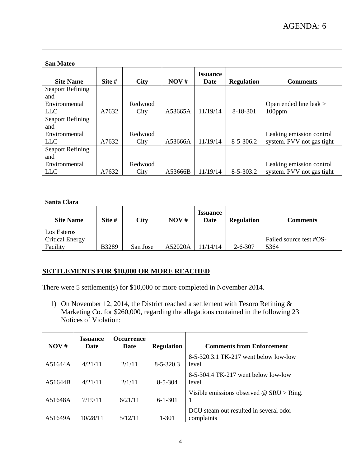| <b>San Mateo</b><br><b>Site Name</b> | Site # | <b>City</b> | NOV#    | <b>Issuance</b><br>Date | <b>Regulation</b> | <b>Comments</b>           |
|--------------------------------------|--------|-------------|---------|-------------------------|-------------------|---------------------------|
| <b>Seaport Refining</b>              |        |             |         |                         |                   |                           |
| and                                  |        |             |         |                         |                   |                           |
| Environmental                        |        | Redwood     |         |                         |                   | Open ended line leak $>$  |
| <b>LLC</b>                           | A7632  | City        | A53665A | 11/19/14                | 8-18-301          | $100$ ppm                 |
| <b>Seaport Refining</b>              |        |             |         |                         |                   |                           |
| and                                  |        |             |         |                         |                   |                           |
| Environmental                        |        | Redwood     |         |                         |                   | Leaking emission control  |
| <b>LLC</b>                           | A7632  | City        | A53666A | 11/19/14                | $8 - 5 - 306.2$   | system. PVV not gas tight |
| <b>Seaport Refining</b>              |        |             |         |                         |                   |                           |
| and                                  |        |             |         |                         |                   |                           |
| Environmental                        |        | Redwood     |         |                         |                   | Leaking emission control  |
| <b>LLC</b>                           | A7632  | City        | A53666B | 11/19/14                | $8 - 5 - 303.2$   | system. PVV not gas tight |

| Santa Clara            |              |             |         |                         |                   |                         |
|------------------------|--------------|-------------|---------|-------------------------|-------------------|-------------------------|
| <b>Site Name</b>       | Site #       | <b>City</b> | NOV#    | <b>Issuance</b><br>Date | <b>Regulation</b> | <b>Comments</b>         |
| Los Esteros            |              |             |         |                         |                   |                         |
| <b>Critical Energy</b> |              |             |         |                         |                   | Failed source test #OS- |
| Facility               | <b>B3289</b> | San Jose    | A52020A | 11/14/14                | $2 - 6 - 307$     | 5364                    |

## **SETTLEMENTS FOR \$10,000 OR MORE REACHED**

There were 5 settlement(s) for \$10,000 or more completed in November 2014.

1) On November 12, 2014, the District reached a settlement with Tesoro Refining & Marketing Co. for \$260,000, regarding the allegations contained in the following 23 Notices of Violation:

| NOV#    | <b>Issuance</b><br>Date | <b>Occurrence</b><br><b>Date</b> | <b>Regulation</b> | <b>Comments from Enforcement</b>                     |
|---------|-------------------------|----------------------------------|-------------------|------------------------------------------------------|
| A51644A | 4/21/11                 | 2/1/11                           | $8 - 5 - 320.3$   | 8-5-320.3.1 TK-217 went below low-low<br>level       |
| A51644B | 4/21/11                 | 2/1/11                           | $8 - 5 - 304$     | 8-5-304.4 TK-217 went below low-low<br>level         |
| A51648A | 7/19/11                 | 6/21/11                          | $6 - 1 - 301$     | Visible emissions observed $\omega$ SRU > Ring.      |
| A51649A | 10/28/11                | 5/12/11                          | 1-301             | DCU steam out resulted in several odor<br>complaints |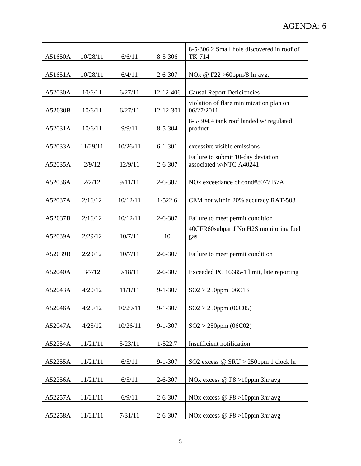| A51650A | 10/28/11 | 6/6/11   | $8 - 5 - 306$ | 8-5-306.2 Small hole discovered in roof of<br>TK-714          |
|---------|----------|----------|---------------|---------------------------------------------------------------|
| A51651A | 10/28/11 | 6/4/11   | $2 - 6 - 307$ | NOx @ F22 > 60ppm/8-hr avg.                                   |
| A52030A | 10/6/11  | 6/27/11  | 12-12-406     | <b>Causal Report Deficiencies</b>                             |
| A52030B | 10/6/11  | 6/27/11  | 12-12-301     | violation of flare minimization plan on<br>06/27/2011         |
| A52031A | 10/6/11  | 9/9/11   | $8 - 5 - 304$ | 8-5-304.4 tank roof landed w/ regulated<br>product            |
| A52033A | 11/29/11 | 10/26/11 | $6 - 1 - 301$ | excessive visible emissions                                   |
| A52035A | 2/9/12   | 12/9/11  | $2 - 6 - 307$ | Failure to submit 10-day deviation<br>associated w/NTC A40241 |
| A52036A | 2/2/12   | 9/11/11  | $2 - 6 - 307$ | NO <sub>x</sub> exceedance of cond#8077 B7A                   |
| A52037A | 2/16/12  | 10/12/11 | $1-522.6$     | CEM not within 20% accuracy RAT-508                           |
| A52037B | 2/16/12  | 10/12/11 | $2 - 6 - 307$ | Failure to meet permit condition                              |
| A52039A | 2/29/12  | 10/7/11  | 10            | 40CFR60subpartJ No H2S monitoring fuel<br>gas                 |
| A52039B | 2/29/12  | 10/7/11  | $2 - 6 - 307$ | Failure to meet permit condition                              |
| A52040A | 3/7/12   | 9/18/11  | $2 - 6 - 307$ | Exceeded PC 16685-1 limit, late reporting                     |
| A52043A | 4/20/12  | 11/1/11  | $9 - 1 - 307$ | $SO2 > 250$ ppm 06C13                                         |
| A52046A | 4/25/12  | 10/29/11 | $9 - 1 - 307$ | $SO2 > 250$ ppm (06C05)                                       |
| A52047A | 4/25/12  | 10/26/11 | $9 - 1 - 307$ | $SO2 > 250$ ppm (06C02)                                       |
| A52254A | 11/21/11 | 5/23/11  | 1-522.7       | Insufficient notification                                     |
| A52255A | 11/21/11 | 6/5/11   | $9 - 1 - 307$ | SO2 excess @ SRU > 250ppm 1 clock hr                          |
| A52256A | 11/21/11 | 6/5/11   | $2 - 6 - 307$ | NOx excess @ F8 >10ppm 3hr avg                                |
| A52257A | 11/21/11 | 6/9/11   | $2 - 6 - 307$ | NO <sub>x</sub> excess @ F <sub>8</sub> > 10ppm 3hr avg       |
| A52258A | 11/21/11 | 7/31/11  | $2 - 6 - 307$ | NOx excess $@$ F8 > 10ppm 3hr avg                             |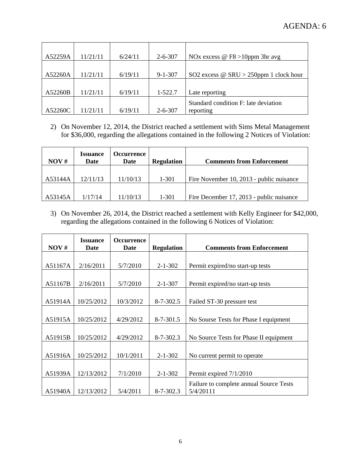| A52259A | 11/21/11 | 6/24/11 | $2 - 6 - 307$ | NOx excess $@$ F8 > 10ppm 3hr avg             |
|---------|----------|---------|---------------|-----------------------------------------------|
|         |          |         |               |                                               |
| A52260A | 11/21/11 | 6/19/11 | $9 - 1 - 307$ | SO2 excess $\omega$ SRU > 250ppm 1 clock hour |
|         |          |         |               |                                               |
| A52260B | 11/21/11 | 6/19/11 | 1-522.7       | Late reporting                                |
|         |          |         |               | Standard condition F: late deviation          |
| A52260C | 11/21/11 | 6/19/11 | $2 - 6 - 307$ | reporting                                     |

2) On November 12, 2014, the District reached a settlement with Sims Metal Management for \$36,000, regarding the allegations contained in the following 2 Notices of Violation:

| NOV#    | <b>Issuance</b><br>Date | Dccurrence (<br>Date | <b>Regulation</b> | <b>Comments from Enforcement</b>         |
|---------|-------------------------|----------------------|-------------------|------------------------------------------|
|         |                         |                      |                   |                                          |
| A53144A | 12/11/13                | 11/10/13             | 1-301             | Fire November 10, 2013 - public nuisance |
|         |                         |                      |                   |                                          |
| A53145A | 1/17/14                 | 11/10/13             | $1 - 301$         | Fire December 17, 2013 - public nuisance |

3) On November 26, 2014, the District reached a settlement with Kelly Engineer for \$42,000, regarding the allegations contained in the following 6 Notices of Violation:

| NOV#    | <b>Issuance</b><br>Date | <b>Occurrence</b><br>Date | <b>Regulation</b> | <b>Comments from Enforcement</b>        |
|---------|-------------------------|---------------------------|-------------------|-----------------------------------------|
|         |                         |                           |                   |                                         |
| A51167A | 2/16/2011               | 5/7/2010                  | $2 - 1 - 302$     | Permit expired/no start-up tests        |
|         |                         |                           |                   |                                         |
| A51167B | 2/16/2011               | 5/7/2010                  | $2 - 1 - 307$     | Permit expired/no start-up tests        |
|         |                         |                           |                   |                                         |
| A51914A | 10/25/2012              | 10/3/2012                 | $8 - 7 - 302.5$   | Failed ST-30 pressure test              |
|         |                         |                           |                   |                                         |
| A51915A | 10/25/2012              | 4/29/2012                 | $8 - 7 - 301.5$   | No Sourse Tests for Phase I equipment   |
|         |                         |                           |                   |                                         |
| A51915B | 10/25/2012              | 4/29/2012                 | $8 - 7 - 302.3$   | No Source Tests for Phase II equipment  |
|         |                         |                           |                   |                                         |
| A51916A | 10/25/2012              | 10/1/2011                 | $2 - 1 - 302$     | No current permit to operate            |
|         |                         |                           |                   |                                         |
| A51939A | 12/13/2012              | 7/1/2010                  | $2 - 1 - 302$     | Permit expired 7/1/2010                 |
|         |                         |                           |                   | Failure to complete annual Source Tests |
| A51940A | 12/13/2012              | 5/4/2011                  | $8 - 7 - 302.3$   | 5/4/20111                               |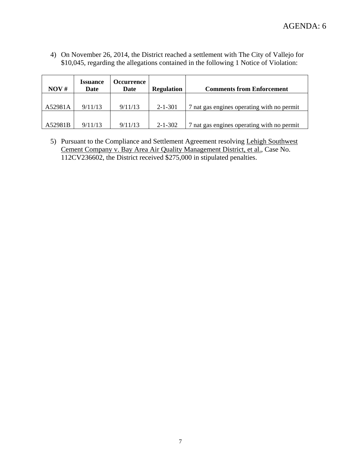4) On November 26, 2014, the District reached a settlement with The City of Vallejo for \$10,045, regarding the allegations contained in the following 1 Notice of Violation:

| NOV#    | <i><b>Issuance</b></i><br>Date | Dccurrence (<br>Date | <b>Regulation</b> | <b>Comments from Enforcement</b>           |
|---------|--------------------------------|----------------------|-------------------|--------------------------------------------|
|         |                                |                      |                   |                                            |
| A52981A | 9/11/13                        | 9/11/13              | $2 - 1 - 301$     | 7 nat gas engines operating with no permit |
|         |                                |                      |                   |                                            |
| A52981B | 9/11/13                        | 9/11/13              | $2 - 1 - 302$     | 7 nat gas engines operating with no permit |

5) Pursuant to the Compliance and Settlement Agreement resolving Lehigh Southwest Cement Company v. Bay Area Air Quality Management District, et al., Case No. 112CV236602, the District received \$275,000 in stipulated penalties.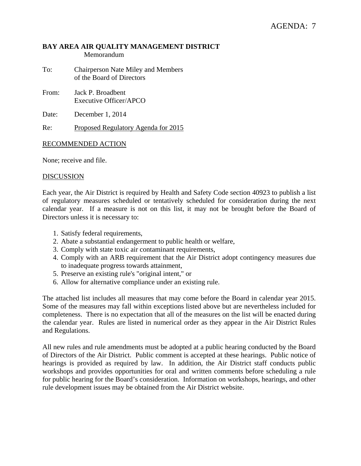## **BAY AREA AIR QUALITY MANAGEMENT DISTRICT**  Memorandum

- To: Chairperson Nate Miley and Members of the Board of Directors
- From: Jack P. Broadbent Executive Officer/APCO

Date: December 1, 2014

Re: Proposed Regulatory Agenda for 2015

## RECOMMENDED ACTION

None; receive and file.

## DISCUSSION

Each year, the Air District is required by Health and Safety Code section 40923 to publish a list of regulatory measures scheduled or tentatively scheduled for consideration during the next calendar year. If a measure is not on this list, it may not be brought before the Board of Directors unless it is necessary to:

- 1. Satisfy federal requirements,
- 2. Abate a substantial endangerment to public health or welfare,
- 3. Comply with state toxic air contaminant requirements,
- 4. Comply with an ARB requirement that the Air District adopt contingency measures due to inadequate progress towards attainment,
- 5. Preserve an existing rule's "original intent," or
- 6. Allow for alternative compliance under an existing rule.

The attached list includes all measures that may come before the Board in calendar year 2015. Some of the measures may fall within exceptions listed above but are nevertheless included for completeness. There is no expectation that all of the measures on the list will be enacted during the calendar year. Rules are listed in numerical order as they appear in the Air District Rules and Regulations.

All new rules and rule amendments must be adopted at a public hearing conducted by the Board of Directors of the Air District. Public comment is accepted at these hearings. Public notice of hearings is provided as required by law. In addition, the Air District staff conducts public workshops and provides opportunities for oral and written comments before scheduling a rule for public hearing for the Board's consideration. Information on workshops, hearings, and other rule development issues may be obtained from the Air District website.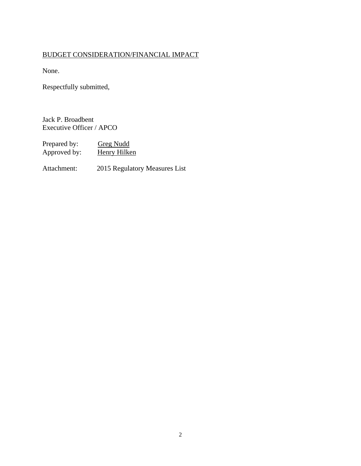## BUDGET CONSIDERATION/FINANCIAL IMPACT

None.

Respectfully submitted,

Jack P. Broadbent Executive Officer / APCO

Prepared by: Greg Nudd<br>Approved by: Henry Hilken Approved by:

Attachment: 2015 Regulatory Measures List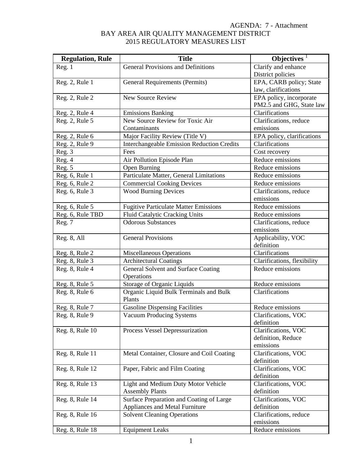| <b>Regulation, Rule</b> | <b>Title</b>                                      | Objectives <sup>1</sup>          |
|-------------------------|---------------------------------------------------|----------------------------------|
| Reg. 1                  | General Provisions and Definitions                | Clarify and enhance              |
|                         |                                                   | District policies                |
| Reg. 2, Rule 1          | <b>General Requirements (Permits)</b>             | EPA, CARB policy; State          |
|                         |                                                   | law, clarifications              |
| Reg. 2, Rule 2          | <b>New Source Review</b>                          | EPA policy, incorporate          |
|                         |                                                   | PM2.5 and GHG, State law         |
| Reg. 2, Rule 4          | <b>Emissions Banking</b>                          | Clarifications                   |
| Reg. 2, Rule 5          | New Source Review for Toxic Air                   | Clarifications, reduce           |
|                         | Contaminants                                      | emissions                        |
| Reg. 2, Rule 6          | Major Facility Review (Title V)                   | EPA policy, clarifications       |
| Reg. 2, Rule 9          | <b>Interchangeable Emission Reduction Credits</b> | Clarifications                   |
| Reg. 3                  | Fees                                              | Cost recovery                    |
| Reg. 4                  | Air Pollution Episode Plan                        | Reduce emissions                 |
| Reg. 5                  | Open Burning                                      | Reduce emissions                 |
| Reg. 6, Rule 1          | Particulate Matter, General Limitations           | Reduce emissions                 |
| Reg. 6, Rule 2          | <b>Commercial Cooking Devices</b>                 | Reduce emissions                 |
| Reg. 6, Rule 3          | <b>Wood Burning Devices</b>                       | Clarifications, reduce           |
|                         |                                                   | emissions                        |
| Reg. 6, Rule 5          | <b>Fugitive Particulate Matter Emissions</b>      | Reduce emissions                 |
| Reg. 6, Rule TBD        | Fluid Catalytic Cracking Units                    | Reduce emissions                 |
| Reg. 7                  | <b>Odorous Substances</b>                         | Clarifications, reduce           |
|                         |                                                   | emissions                        |
| Reg. 8, All             | <b>General Provisions</b>                         | Applicability, VOC<br>definition |
| Reg. 8, Rule 2          | <b>Miscellaneous Operations</b>                   | Clarifications                   |
|                         |                                                   | Clarifications, flexibility      |
| Reg. 8, Rule 3          | <b>Architectural Coatings</b>                     | Reduce emissions                 |
| Reg. 8, Rule 4          | General Solvent and Surface Coating<br>Operations |                                  |
| Reg. 8, Rule 5          | Storage of Organic Liquids                        | Reduce emissions                 |
| Reg. 8, Rule 6          | Organic Liquid Bulk Terminals and Bulk            | Clarifications                   |
|                         | Plants                                            |                                  |
| Reg. 8, Rule 7          | <b>Gasoline Dispensing Facilities</b>             | Reduce emissions                 |
| Reg. 8, Rule 9          | <b>Vacuum Producing Systems</b>                   | Clarifications, VOC              |
|                         |                                                   | definition                       |
| Reg. 8, Rule 10         | Process Vessel Depressurization                   | Clarifications, VOC              |
|                         |                                                   | definition, Reduce               |
|                         |                                                   | emissions                        |
| Reg. 8, Rule 11         | Metal Container, Closure and Coil Coating         | Clarifications, VOC              |
|                         |                                                   | definition                       |
| Reg. 8, Rule 12         | Paper, Fabric and Film Coating                    | Clarifications, VOC              |
|                         |                                                   | definition                       |
| Reg. 8, Rule 13         | Light and Medium Duty Motor Vehicle               | Clarifications, VOC              |
|                         | <b>Assembly Plants</b>                            | definition                       |
| Reg. 8, Rule 14         | Surface Preparation and Coating of Large          | Clarifications, VOC              |
|                         | Appliances and Metal Furniture                    | definition                       |
| Reg. 8, Rule 16         | <b>Solvent Cleaning Operations</b>                | Clarifications, reduce           |
|                         |                                                   | emissions                        |
| Reg. 8, Rule 18         | <b>Equipment Leaks</b>                            | Reduce emissions                 |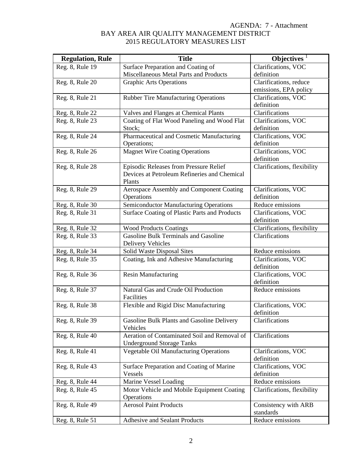| <b>Regulation, Rule</b> | <b>Title</b>                                  | Objectives $1$                    |
|-------------------------|-----------------------------------------------|-----------------------------------|
| Reg. 8, Rule 19         | Surface Preparation and Coating of            | Clarifications, VOC               |
|                         | Miscellaneous Metal Parts and Products        | definition                        |
| Reg. 8, Rule 20         | <b>Graphic Arts Operations</b>                | Clarifications, reduce            |
|                         |                                               | emissions, EPA policy             |
| Reg. 8, Rule 21         | <b>Rubber Tire Manufacturing Operations</b>   | Clarifications, VOC               |
|                         |                                               | definition                        |
| Reg. 8, Rule 22         | Valves and Flanges at Chemical Plants         | Clarifications                    |
| Reg. 8, Rule 23         | Coating of Flat Wood Paneling and Wood Flat   | Clarifications, VOC               |
|                         | Stock;                                        | definition                        |
| Reg. 8, Rule 24         | Pharmaceutical and Cosmetic Manufacturing     | Clarifications, VOC               |
|                         | Operations;                                   | definition                        |
| Reg. 8, Rule 26         | <b>Magnet Wire Coating Operations</b>         | Clarifications, VOC<br>definition |
| Reg. 8, Rule 28         | Episodic Releases from Pressure Relief        | Clarifications, flexibility       |
|                         | Devices at Petroleum Refineries and Chemical  |                                   |
|                         | Plants                                        |                                   |
| Reg. 8, Rule 29         | Aerospace Assembly and Component Coating      | Clarifications, VOC               |
|                         | Operations                                    | definition                        |
| Reg. 8, Rule 30         | <b>Semiconductor Manufacturing Operations</b> | Reduce emissions                  |
| Reg. 8, Rule 31         | Surface Coating of Plastic Parts and Products | Clarifications, VOC               |
|                         |                                               | definition                        |
| Reg. 8, Rule 32         | <b>Wood Products Coatings</b>                 | Clarifications, flexibility       |
| Reg. 8, Rule 33         | Gasoline Bulk Terminals and Gasoline          | Clarifications                    |
|                         | <b>Delivery Vehicles</b>                      |                                   |
| Reg. 8, Rule 34         | Solid Waste Disposal Sites                    | Reduce emissions                  |
| Reg. 8, Rule 35         | Coating, Ink and Adhesive Manufacturing       | Clarifications, VOC               |
|                         |                                               | definition                        |
| Reg. 8, Rule 36         | <b>Resin Manufacturing</b>                    | Clarifications, VOC               |
|                         | Natural Gas and Crude Oil Production          | definition<br>Reduce emissions    |
| Reg. 8, Rule 37         | Facilities                                    |                                   |
| Reg. 8, Rule 38         | Flexible and Rigid Disc Manufacturing         | Clarifications, VOC               |
|                         |                                               | definition                        |
| Reg. 8, Rule 39         | Gasoline Bulk Plants and Gasoline Delivery    | Clarifications                    |
|                         | Vehicles                                      |                                   |
| Reg. 8, Rule 40         | Aeration of Contaminated Soil and Removal of  | Clarifications                    |
|                         | <b>Underground Storage Tanks</b>              |                                   |
| Reg. 8, Rule 41         | <b>Vegetable Oil Manufacturing Operations</b> | Clarifications, VOC               |
|                         |                                               | definition                        |
| Reg. 8, Rule 43         | Surface Preparation and Coating of Marine     | Clarifications, VOC               |
|                         | Vessels                                       | definition                        |
| Reg. 8, Rule 44         | Marine Vessel Loading                         | Reduce emissions                  |
| Reg. 8, Rule 45         | Motor Vehicle and Mobile Equipment Coating    | Clarifications, flexibility       |
|                         | Operations                                    |                                   |
| Reg. 8, Rule 49         | <b>Aerosol Paint Products</b>                 | Consistency with ARB              |
|                         |                                               | standards                         |
| Reg. 8, Rule 51         | Adhesive and Sealant Products                 | Reduce emissions                  |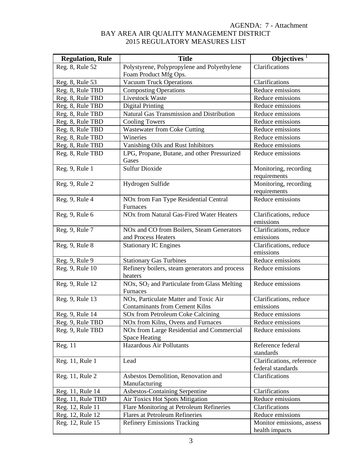| <b>Regulation, Rule</b> | <b>Title</b>                                                                  | Objectives $\overline{\ }$                     |
|-------------------------|-------------------------------------------------------------------------------|------------------------------------------------|
| Reg. 8, Rule 52         | Polystyrene, Polypropylene and Polyethylene                                   | Clarifications                                 |
|                         | Foam Product Mfg Ops.                                                         |                                                |
| Reg. 8, Rule 53         | <b>Vacuum Truck Operations</b>                                                | Clarifications                                 |
| Reg. 8, Rule TBD        | <b>Composting Operations</b>                                                  | Reduce emissions                               |
| Reg. 8, Rule TBD        | Livestock Waste                                                               | Reduce emissions                               |
| Reg. 8, Rule TBD        | <b>Digital Printing</b>                                                       | Reduce emissions                               |
| Reg. 8, Rule TBD        | Natural Gas Transmission and Distribution                                     | Reduce emissions                               |
| Reg. 8, Rule TBD        | <b>Cooling Towers</b>                                                         | Reduce emissions                               |
| Reg. 8, Rule TBD        | <b>Wastewater from Coke Cutting</b>                                           | Reduce emissions                               |
| Reg. 8, Rule TBD        | Wineries                                                                      | Reduce emissions                               |
| Reg. 8, Rule TBD        | Vanishing Oils and Rust Inhibitors                                            | Reduce emissions                               |
| Reg. 8, Rule TBD        | LPG, Propane, Butane, and other Pressurized<br>Gases                          | Reduce emissions                               |
| Reg. 9, Rule 1          | <b>Sulfur Dioxide</b>                                                         | Monitoring, recording<br>requirements          |
| Reg. 9, Rule 2          | Hydrogen Sulfide                                                              | Monitoring, recording<br>requirements          |
| Reg. 9, Rule 4          | NOx from Fan Type Residential Central<br>Furnaces                             | Reduce emissions                               |
| Reg. 9, Rule 6          | NOx from Natural Gas-Fired Water Heaters                                      | Clarifications, reduce<br>emissions            |
| Reg. 9, Rule 7          | NO <sub>x</sub> and CO from Boilers, Steam Generators<br>and Process Heaters  | Clarifications, reduce<br>emissions            |
| Reg. 9, Rule 8          | <b>Stationary IC Engines</b>                                                  | Clarifications, reduce<br>emissions            |
| Reg. 9, Rule 9          | <b>Stationary Gas Turbines</b>                                                | Reduce emissions                               |
| Reg. 9, Rule 10         | Refinery boilers, steam generators and process<br>heaters                     | Reduce emissions                               |
| Reg. 9, Rule 12         | NOx, SO <sub>2</sub> and Particulate from Glass Melting<br>Furnaces           | Reduce emissions                               |
| Reg. 9, Rule 13         | NOx, Particulate Matter and Toxic Air                                         | Clarifications, reduce                         |
|                         | <b>Contaminants from Cement Kilns</b>                                         | emissions                                      |
| Reg. 9, Rule 14         | SOx from Petroleum Coke Calcining                                             | Reduce emissions                               |
| Reg. 9, Rule TBD        | NO <sub>x</sub> from Kilns, Ovens and Furnaces                                | Reduce emissions                               |
| Reg. 9, Rule TBD        | NO <sub>x</sub> from Large Residential and Commercial<br><b>Space Heating</b> | Reduce emissions                               |
| Reg. 11                 | Hazardous Air Pollutants                                                      | Reference federal<br>standards                 |
| Reg. 11, Rule 1         | Lead                                                                          | Clarifications, reference<br>federal standards |
| Reg. 11, Rule 2         | Asbestos Demolition, Renovation and<br>Manufacturing                          | Clarifications                                 |
| Reg. 11, Rule 14        | Asbestos-Containing Serpentine                                                | Clarifications                                 |
| Reg. 11, Rule TBD       | Air Toxics Hot Spots Mitigation                                               | Reduce emissions                               |
| Reg. 12, Rule 11        | Flare Monitoring at Petroleum Refineries                                      | Clarifications                                 |
| Reg. 12, Rule 12        | <b>Flares at Petroleum Refineries</b>                                         | Reduce emissions                               |
| Reg. 12, Rule 15        | <b>Refinery Emissions Tracking</b>                                            | Monitor emissions, assess                      |
|                         |                                                                               | health impacts                                 |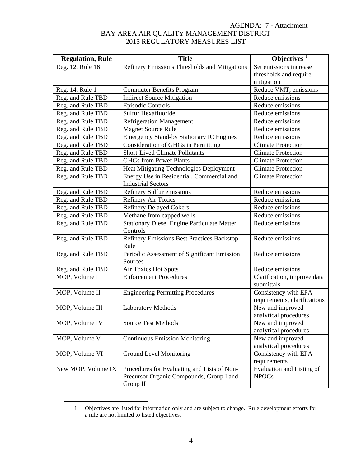| <b>Regulation, Rule</b> | <b>Title</b>                                                   | Objectives <sup>1</sup>                   |
|-------------------------|----------------------------------------------------------------|-------------------------------------------|
| Reg. 12, Rule 16        | Refinery Emissions Thresholds and Mitigations                  | Set emissions increase                    |
|                         |                                                                | thresholds and require                    |
|                         |                                                                | mitigation                                |
| Reg. 14, Rule 1         | <b>Commuter Benefits Program</b>                               | Reduce VMT, emissions                     |
| Reg. and Rule TBD       | <b>Indirect Source Mitigation</b>                              | Reduce emissions                          |
| Reg. and Rule TBD       | <b>Episodic Controls</b>                                       | Reduce emissions                          |
| Reg. and Rule TBD       | Sulfur Hexafluoride                                            | Reduce emissions                          |
| Reg. and Rule TBD       | <b>Refrigeration Management</b>                                | Reduce emissions                          |
| Reg. and Rule TBD       | <b>Magnet Source Rule</b>                                      | Reduce emissions                          |
| Reg. and Rule TBD       | <b>Emergency Stand-by Stationary IC Engines</b>                | Reduce emissions                          |
| Reg. and Rule TBD       | Consideration of GHGs in Permitting                            | <b>Climate Protection</b>                 |
| Reg. and Rule TBD       | <b>Short-Lived Climate Pollutants</b>                          | <b>Climate Protection</b>                 |
| Reg. and Rule TBD       | <b>GHGs from Power Plants</b>                                  | <b>Climate Protection</b>                 |
| Reg. and Rule TBD       | Heat Mitigating Technologies Deployment                        | <b>Climate Protection</b>                 |
| Reg. and Rule TBD       | Energy Use in Residential, Commercial and                      | <b>Climate Protection</b>                 |
|                         | <b>Industrial Sectors</b>                                      |                                           |
| Reg. and Rule TBD       | Refinery Sulfur emissions                                      | Reduce emissions                          |
| Reg. and Rule TBD       | <b>Refinery Air Toxics</b>                                     | Reduce emissions                          |
| Reg. and Rule TBD       | <b>Refinery Delayed Cokers</b>                                 | Reduce emissions                          |
| Reg. and Rule TBD       | Methane from capped wells                                      | Reduce emissions                          |
| Reg. and Rule TBD       | <b>Stationary Diesel Engine Particulate Matter</b><br>Controls | Reduce emissions                          |
| Reg. and Rule TBD       | <b>Refinery Emissions Best Practices Backstop</b><br>Rule      | Reduce emissions                          |
| Reg. and Rule TBD       | Periodic Assessment of Significant Emission                    | Reduce emissions                          |
|                         | Sources                                                        |                                           |
| Reg. and Rule TBD       | Air Toxics Hot Spots                                           | Reduce emissions                          |
| MOP, Volume I           | <b>Enforcement Procedures</b>                                  | Clarification, improve data               |
|                         |                                                                | submittals                                |
| MOP, Volume II          | <b>Engineering Permitting Procedures</b>                       | Consistency with EPA                      |
|                         |                                                                | requirements, clarifications              |
| MOP, Volume III         | <b>Laboratory Methods</b>                                      | New and improved                          |
|                         |                                                                | analytical procedures                     |
| MOP, Volume IV          | <b>Source Test Methods</b>                                     | New and improved<br>analytical procedures |
| MOP, Volume V           | <b>Continuous Emission Monitoring</b>                          | New and improved                          |
|                         |                                                                | analytical procedures                     |
| MOP, Volume VI          | Ground Level Monitoring                                        | Consistency with EPA                      |
|                         |                                                                | requirements                              |
| New MOP, Volume IX      | Procedures for Evaluating and Lists of Non-                    | Evaluation and Listing of                 |
|                         | Precursor Organic Compounds, Group I and                       | <b>NPOCs</b>                              |
|                         | Group II                                                       |                                           |

 <sup>1</sup> Objectives are listed for information only and are subject to change. Rule development efforts for a rule are not limited to listed objectives.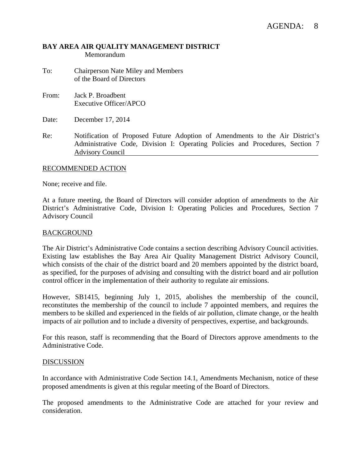## **BAY AREA AIR QUALITY MANAGEMENT DISTRICT**  Memorandum

- To: Chairperson Nate Miley and Members of the Board of Directors
- From: Jack P. Broadbent Executive Officer/APCO
- Date: December 17, 2014
- Re: Notification of Proposed Future Adoption of Amendments to the Air District's Administrative Code, Division I: Operating Policies and Procedures, Section 7 Advisory Council

## RECOMMENDED ACTION

None; receive and file.

At a future meeting, the Board of Directors will consider adoption of amendments to the Air District's Administrative Code, Division I: Operating Policies and Procedures, Section 7 Advisory Council

#### BACKGROUND

The Air District's Administrative Code contains a section describing Advisory Council activities. Existing law establishes the Bay Area Air Quality Management District Advisory Council, which consists of the chair of the district board and 20 members appointed by the district board, as specified, for the purposes of advising and consulting with the district board and air pollution control officer in the implementation of their authority to regulate air emissions.

However, SB1415, beginning July 1, 2015, abolishes the membership of the council, reconstitutes the membership of the council to include 7 appointed members, and requires the members to be skilled and experienced in the fields of air pollution, climate change, or the health impacts of air pollution and to include a diversity of perspectives, expertise, and backgrounds.

For this reason, staff is recommending that the Board of Directors approve amendments to the Administrative Code.

## DISCUSSION

In accordance with Administrative Code Section 14.1, Amendments Mechanism, notice of these proposed amendments is given at this regular meeting of the Board of Directors.

The proposed amendments to the Administrative Code are attached for your review and consideration.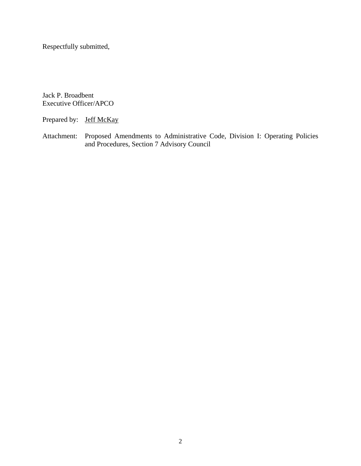Respectfully submitted,

Jack P. Broadbent Executive Officer/APCO

Prepared by: Jeff McKay

Attachment: Proposed Amendments to Administrative Code, Division I: Operating Policies and Procedures, Section 7 Advisory Council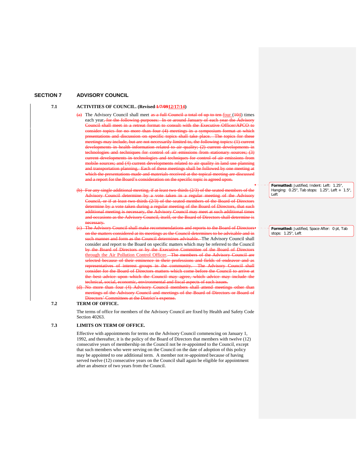#### **SECTION 7 ADVISORY COUNCIL**

#### 7.1 **ACTIVITIES OF COUNCIL.** (Revised  $\frac{1}{7}/\sqrt{0.912}/17/14$ )

- $(a)$  The Advisory Council shall meet as a full Council a total of up to ten-four (104) times each year<del>, for the following purposes: In or around January of each year the Advisory</del> ncil shall meet in a retreat format to consult with the Executive Officer/APCO to than four  $(4)$  meetings in a symposium format at which entations and discussion on specific topics shall take place. The topics for etings may include, but are not necessarily limited to, the following topics: (1) current health information related to air quality;  $(2)$  current developtechnologies for control of developments in technologies and techniques for control of air emission and (4) current developments related to air quality in land use pla and transportation planning. Each of these meetings shall be followed by one meeting at ch the presentations made and materials received at the topical meeting are disc and a report for the Board's consideration on the specific topic is agreed upon.
- additional meeting, if at least two-thirds (2/3) of the seated members of the Advisory Council determine by a vote taken in a regular meeting of the Advisory puncil, or if at least two-thirds  $(2/3)$  of the seated members of the Board of Directors mine by a vote taken during a regular meeting of the Board of Directors, that such sary, the Advisory Council may meet at such additional as the Advisory Council, itself, or the Board of Directors shall determine is necessary.
- (c) The Advisory Council shall make recommendations and reports to the Board of Directors on the matters considered at its meetings as the Council de such manner and form as the Council determines advisable. The Advisory Council shall consider and report to the Board on specific matters which may be referred to the Council by the Board of Directors or by the Executive Committee of the Board of Directors through the Air Pollution Control Officer. The members of the Advisory Council are selected because of their eminence in their professions and fields of endeav representatives of interest groups in the community. The Advisory Council shall er for the Board of Directors matters which come before the Council to arrive at<br>st advice upon which the Council may agree, which advice may include the best advice upon which the Council may agree, which advice may include the technical, social, economic, environmental and fiscal aspects of such issues.
- (d) No more than four (4) Advisory Council members shall attend tings of the Advisory Council and meetings ectors' Committees at the District's expense.

#### **7.2 TERM OF OFFICE.**

The terms of office for members of the Advisory Council are fixed by Health and Safety Code Section 40263.

#### **7.3 LIMITS ON TERM OF OFFICE.**

Effective with appointments for terms on the Advisory Council commencing on January 1, 1992, and thereafter, it is the policy of the Board of Directors that members with twelve (12) consecutive years of membership on the Council not be re-appointed to the Council, except that such members who were serving on the Council on the date of adoption of this policy may be appointed to one additional term. A member not re-appointed because of having served twelve (12) consecutive years on the Council shall again be eligible for appointment after an absence of two years from the Council.

**Formatted:** Justified, Indent: Left: 1.25", Hanging: 0.25", Tab stops: 1.25", Left + 1.5", Left

**Formatted:** Justified, Space After: 0 pt, Tab stops: 1.25", Left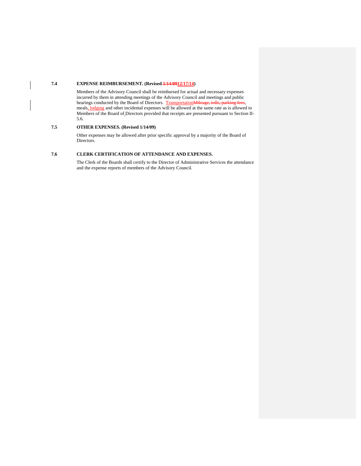#### **7.4 EXPENSE REIMBURSEMENT. (Revised 1/14/0912/17/14)**

Members of the Advisory Council shall be reimbursed for actual and necessary expenses incurred by them in attending meetings of the Advisory Council and meetings and public hearings conducted by the Board of Directors. Transportation Mileage, tolls, parking fees, meals, lodging and other incidental expenses will be allowed at the same rate as is allowed to Members of the Board of Directors provided that receipts are presented pursuant to Section II-5.6.

#### **7.5 OTHER EXPENSES. (Revised 1/14/09)**

Other expenses may be allowed after prior specific approval by a majority of the Board of Directors.

#### **7.6 CLERK CERTIFICATION OF ATTENDANCE AND EXPENSES.**

The Clerk of the Boards shall certify to the Director of Administrative Services the attendance and the expense reports of members of the Advisory Council.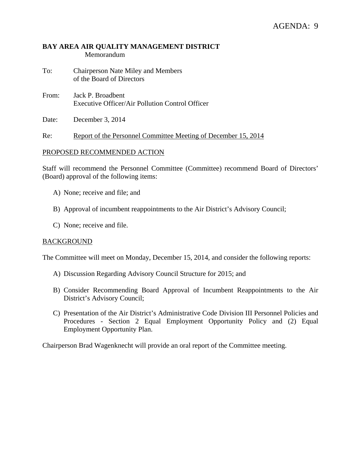# **BAY AREA AIR QUALITY MANAGEMENT DISTRICT**  Memorandum

- To: Chairperson Nate Miley and Members of the Board of Directors
- From: Jack P. Broadbent Executive Officer/Air Pollution Control Officer
- Date: December 3, 2014

Re: Report of the Personnel Committee Meeting of December 15, 2014

# PROPOSED RECOMMENDED ACTION

Staff will recommend the Personnel Committee (Committee) recommend Board of Directors' (Board) approval of the following items:

- A) None; receive and file; and
- B) Approval of incumbent reappointments to the Air District's Advisory Council;
- C) None; receive and file.

# BACKGROUND

The Committee will meet on Monday, December 15, 2014, and consider the following reports:

- A) Discussion Regarding Advisory Council Structure for 2015; and
- B) Consider Recommending Board Approval of Incumbent Reappointments to the Air District's Advisory Council;
- C) Presentation of the Air District's Administrative Code Division III Personnel Policies and Procedures - Section 2 Equal Employment Opportunity Policy and (2) Equal Employment Opportunity Plan.

Chairperson Brad Wagenknecht will provide an oral report of the Committee meeting.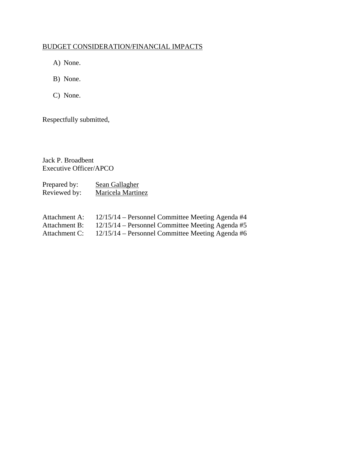# BUDGET CONSIDERATION/FINANCIAL IMPACTS

- A) None.
- B) None.
- C) None.

Respectfully submitted,

Jack P. Broadbent Executive Officer/APCO

Prepared by: Sean Gallagher Reviewed by: Maricela Martinez

| Attachment A: | $12/15/14$ – Personnel Committee Meeting Agenda #4 |
|---------------|----------------------------------------------------|
| Attachment B: | $12/15/14$ – Personnel Committee Meeting Agenda #5 |
| Attachment C: | $12/15/14$ – Personnel Committee Meeting Agenda #6 |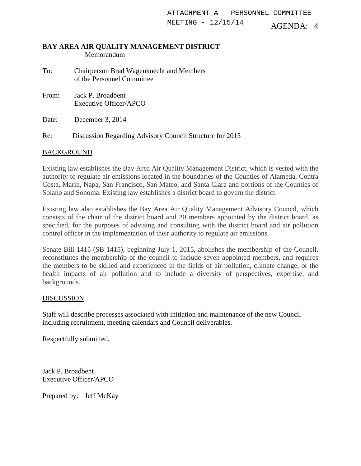AGENDA: 4 ATTACHMENT A - PERSONNEL COMMITTEE MEETING - 12/15/14

#### **BAY AREA AIR QUALITY MANAGEMENT DISTRICT**  Memorandum

To: Chairperson Brad Wagenknecht and Members of the Personnel Committee

From: Jack P. Broadbent Executive Officer/APCO

Date: December 3, 2014

Re: Discussion Regarding Advisory Council Structure for 2015

# **BACKGROUND**

Existing law establishes the Bay Area Air Quality Management District, which is vested with the authority to regulate air emissions located in the boundaries of the Counties of Alameda, Contra Costa, Marin, Napa, San Francisco, San Mateo, and Santa Clara and portions of the Counties of Solano and Sonoma. Existing law establishes a district board to govern the district.

Existing law also establishes the Bay Area Air Quality Management Advisory Council, which consists of the chair of the district board and 20 members appointed by the district board, as specified, for the purposes of advising and consulting with the district board and air pollution control officer in the implementation of their authority to regulate air emissions.

Senate Bill 1415 (SB 1415), beginning July 1, 2015, abolishes the membership of the Council, reconstitutes the membership of the council to include seven appointed members, and requires the members to be skilled and experienced in the fields of air pollution, climate change, or the health impacts of air pollution and to include a diversity of perspectives, expertise, and backgrounds.

# **DISCUSSION**

Staff will describe processes associated with initiation and maintenance of the new Council including recruitment, meeting calendars and Council deliverables.

Respectfully submitted,

Jack P. Broadbent Executive Officer/APCO

Prepared by: Jeff McKay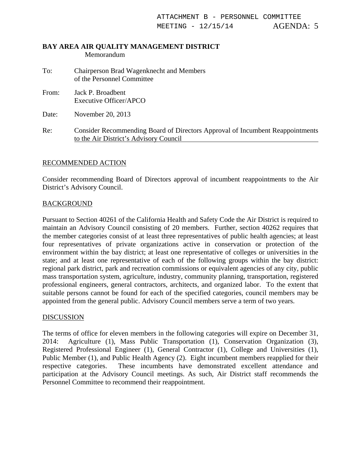#### **BAY AREA AIR QUALITY MANAGEMENT DISTRICT**  Memorandum

- To: Chairperson Brad Wagenknecht and Members of the Personnel Committee
- From: Jack P. Broadbent Executive Officer/APCO

Date: November 20, 2013

Re: Consider Recommending Board of Directors Approval of Incumbent Reappointments to the Air District's Advisory Council

# RECOMMENDED ACTION

Consider recommending Board of Directors approval of incumbent reappointments to the Air District's Advisory Council.

# BACKGROUND

Pursuant to Section 40261 of the California Health and Safety Code the Air District is required to maintain an Advisory Council consisting of 20 members. Further, section 40262 requires that the member categories consist of at least three representatives of public health agencies; at least four representatives of private organizations active in conservation or protection of the environment within the bay district; at least one representative of colleges or universities in the state; and at least one representative of each of the following groups within the bay district: regional park district, park and recreation commissions or equivalent agencies of any city, public mass transportation system, agriculture, industry, community planning, transportation, registered professional engineers, general contractors, architects, and organized labor. To the extent that suitable persons cannot be found for each of the specified categories, council members may be appointed from the general public. Advisory Council members serve a term of two years.

# **DISCUSSION**

The terms of office for eleven members in the following categories will expire on December 31, 2014: Agriculture (1), Mass Public Transportation (1), Conservation Organization (3), Registered Professional Engineer (1), General Contractor (1), College and Universities (1), Public Member (1), and Public Health Agency (2). Eight incumbent members reapplied for their respective categories. These incumbents have demonstrated excellent attendance and participation at the Advisory Council meetings. As such, Air District staff recommends the Personnel Committee to recommend their reappointment.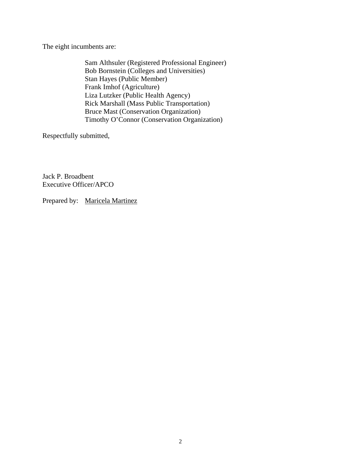The eight incumbents are:

 Sam Althsuler (Registered Professional Engineer) Bob Bornstein (Colleges and Universities) Stan Hayes (Public Member) Frank Imhof (Agriculture) Liza Lutzker (Public Health Agency) Rick Marshall (Mass Public Transportation) Bruce Mast (Conservation Organization) Timothy O'Connor (Conservation Organization)

Respectfully submitted,

Jack P. Broadbent Executive Officer/APCO

Prepared by: Maricela Martinez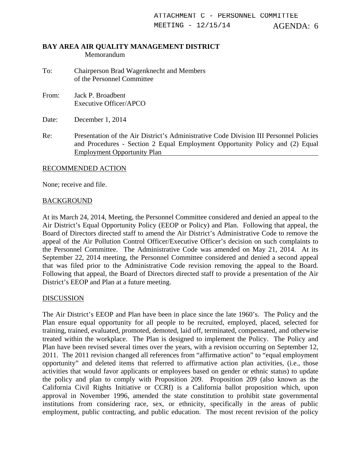#### **BAY AREA AIR QUALITY MANAGEMENT DISTRICT**  Memorandum

- To: Chairperson Brad Wagenknecht and Members of the Personnel Committee
- From: Jack P. Broadbent Executive Officer/APCO

Date: December 1, 2014

Re: Presentation of the Air District's Administrative Code Division III Personnel Policies and Procedures - Section 2 Equal Employment Opportunity Policy and (2) Equal Employment Opportunity Plan

# RECOMMENDED ACTION

None; receive and file.

# BACKGROUND

At its March 24, 2014, Meeting, the Personnel Committee considered and denied an appeal to the Air District's Equal Opportunity Policy (EEOP or Policy) and Plan. Following that appeal, the Board of Directors directed staff to amend the Air District's Administrative Code to remove the appeal of the Air Pollution Control Officer/Executive Officer's decision on such complaints to the Personnel Committee. The Administrative Code was amended on May 21, 2014. At its September 22, 2014 meeting, the Personnel Committee considered and denied a second appeal that was filed prior to the Administrative Code revision removing the appeal to the Board. Following that appeal, the Board of Directors directed staff to provide a presentation of the Air District's EEOP and Plan at a future meeting.

# **DISCUSSION**

The Air District's EEOP and Plan have been in place since the late 1960's. The Policy and the Plan ensure equal opportunity for all people to be recruited, employed, placed, selected for training, trained, evaluated, promoted, demoted, laid off, terminated, compensated, and otherwise treated within the workplace. The Plan is designed to implement the Policy. The Policy and Plan have been revised several times over the years, with a revision occurring on September 12, 2011. The 2011 revision changed all references from "affirmative action" to "equal employment opportunity" and deleted items that referred to affirmative action plan activities, (i.e., those activities that would favor applicants or employees based on gender or ethnic status) to update the policy and plan to comply with Proposition 209. Proposition 209 (also known as the California Civil Rights Initiative or CCRI) is a California ballot proposition which, upon approval in November 1996, amended the state constitution to prohibit state governmental institutions from considering race, sex, or ethnicity, specifically in the areas of public employment, public contracting, and public education. The most recent revision of the policy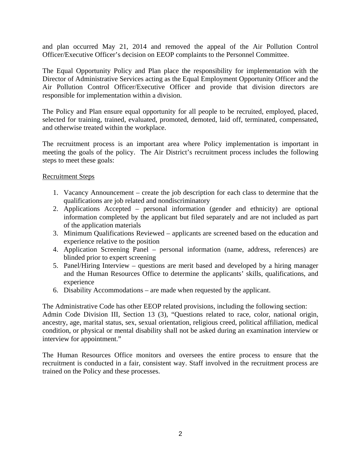and plan occurred May 21, 2014 and removed the appeal of the Air Pollution Control Officer/Executive Officer's decision on EEOP complaints to the Personnel Committee.

The Equal Opportunity Policy and Plan place the responsibility for implementation with the Director of Administrative Services acting as the Equal Employment Opportunity Officer and the Air Pollution Control Officer/Executive Officer and provide that division directors are responsible for implementation within a division.

The Policy and Plan ensure equal opportunity for all people to be recruited, employed, placed, selected for training, trained, evaluated, promoted, demoted, laid off, terminated, compensated, and otherwise treated within the workplace.

The recruitment process is an important area where Policy implementation is important in meeting the goals of the policy. The Air District's recruitment process includes the following steps to meet these goals:

# Recruitment Steps

- 1. Vacancy Announcement create the job description for each class to determine that the qualifications are job related and nondiscriminatory
- 2. Applications Accepted personal information (gender and ethnicity) are optional information completed by the applicant but filed separately and are not included as part of the application materials
- 3. Minimum Qualifications Reviewed applicants are screened based on the education and experience relative to the position
- 4. Application Screening Panel personal information (name, address, references) are blinded prior to expert screening
- 5. Panel/Hiring Interview questions are merit based and developed by a hiring manager and the Human Resources Office to determine the applicants' skills, qualifications, and experience
- 6. Disability Accommodations are made when requested by the applicant.

The Administrative Code has other EEOP related provisions, including the following section: Admin Code Division III, Section 13 (3), "Questions related to race, color, national origin, ancestry, age, marital status, sex, sexual orientation, religious creed, political affiliation, medical condition, or physical or mental disability shall not be asked during an examination interview or interview for appointment."

The Human Resources Office monitors and oversees the entire process to ensure that the recruitment is conducted in a fair, consistent way. Staff involved in the recruitment process are trained on the Policy and these processes.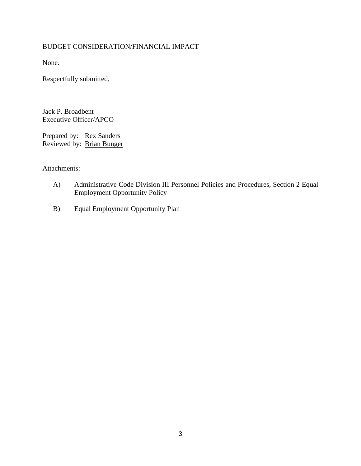# BUDGET CONSIDERATION/FINANCIAL IMPACT

None.

Respectfully submitted,

Jack P. Broadbent Executive Officer/APCO

Prepared by: Rex Sanders Reviewed by: Brian Bunger

Attachments:

- A) Administrative Code Division III Personnel Policies and Procedures, Section 2 Equal Employment Opportunity Policy
- B) Equal Employment Opportunity Plan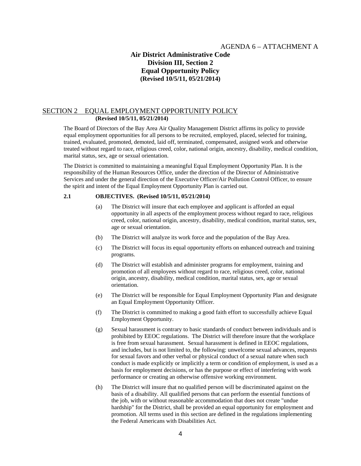#### AGENDA 6 – ATTACHMENT A

# **Air District Administrative Code Division III, Section 2 Equal Opportunity Policy (Revised 10/5/11, 05/21/2014)**

#### SECTION 2 EQUAL EMPLOYMENT OPPORTUNITY POLICY **(Revised 10/5/11, 05/21/2014)**

The Board of Directors of the Bay Area Air Quality Management District affirms its policy to provide equal employment opportunities for all persons to be recruited, employed, placed, selected for training, trained, evaluated, promoted, demoted, laid off, terminated, compensated, assigned work and otherwise treated without regard to race, religious creed, color, national origin, ancestry, disability, medical condition, marital status, sex, age or sexual orientation.

The District is committed to maintaining a meaningful Equal Employment Opportunity Plan. It is the responsibility of the Human Resources Office, under the direction of the Director of Administrative Services and under the general direction of the Executive Officer/Air Pollution Control Officer, to ensure the spirit and intent of the Equal Employment Opportunity Plan is carried out.

#### **2.1 OBJECTIVES. (Revised 10/5/11, 05/21/2014)**

- (a) The District will insure that each employee and applicant is afforded an equal opportunity in all aspects of the employment process without regard to race, religious creed, color, national origin, ancestry, disability, medical condition, marital status, sex, age or sexual orientation.
- (b) The District will analyze its work force and the population of the Bay Area.
- (c) The District will focus its equal opportunity efforts on enhanced outreach and training programs.
- (d) The District will establish and administer programs for employment, training and promotion of all employees without regard to race, religious creed, color, national origin, ancestry, disability, medical condition, marital status, sex, age or sexual orientation.
- (e) The District will be responsible for Equal Employment Opportunity Plan and designate an Equal Employment Opportunity Officer.
- (f) The District is committed to making a good faith effort to successfully achieve Equal Employment Opportunity.
- (g) Sexual harassment is contrary to basic standards of conduct between individuals and is prohibited by EEOC regulations. The District will therefore insure that the workplace is free from sexual harassment. Sexual harassment is defined in EEOC regulations, and includes, but is not limited to, the following: unwelcome sexual advances, requests for sexual favors and other verbal or physical conduct of a sexual nature when such conduct is made explicitly or implicitly a term or condition of employment, is used as a basis for employment decisions, or has the purpose or effect of interfering with work performance or creating an otherwise offensive working environment.
- (h) The District will insure that no qualified person will be discriminated against on the basis of a disability. All qualified persons that can perform the essential functions of the job, with or without reasonable accommodation that does not create "undue hardship" for the District, shall be provided an equal opportunity for employment and promotion. All terms used in this section are defined in the regulations implementing the Federal Americans with Disabilities Act.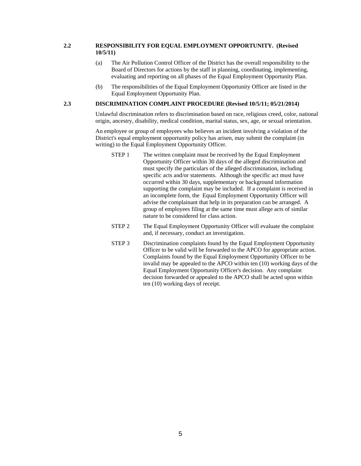#### **2.2 RESPONSIBILITY FOR EQUAL EMPLOYMENT OPPORTUNITY. (Revised 10/5/11)**

- (a) The Air Pollution Control Officer of the District has the overall responsibility to the Board of Directors for actions by the staff in planning, coordinating, implementing, evaluating and reporting on all phases of the Equal Employment Opportunity Plan.
- (b) The responsibilities of the Equal Employment Opportunity Officer are listed in the Equal Employment Opportunity Plan.

#### **2.3 DISCRIMINATION COMPLAINT PROCEDURE (Revised 10/5/11; 05/21/2014)**

Unlawful discrimination refers to discrimination based on race, religious creed, color, national origin, ancestry, disability, medical condition, marital status, sex, age, or sexual orientation.

An employee or group of employees who believes an incident involving a violation of the District's equal employment opportunity policy has arisen, may submit the complaint (in writing) to the Equal Employment Opportunity Officer.

- STEP 1 The written complaint must be received by the Equal Employment Opportunity Officer within 30 days of the alleged discrimination and must specify the particulars of the alleged discrimination, including specific acts and/or statements. Although the specific act must have occurred within 30 days, supplementary or background information supporting the complaint may be included. If a complaint is received in an incomplete form, the Equal Employment Opportunity Officer will advise the complainant that help in its preparation can be arranged. A group of employees filing at the same time must allege acts of similar nature to be considered for class action.
- STEP 2 The Equal Employment Opportunity Officer will evaluate the complaint and, if necessary, conduct an investigation.
- STEP 3 Discrimination complaints found by the Equal Employment Opportunity Officer to be valid will be forwarded to the APCO for appropriate action. Complaints found by the Equal Employment Opportunity Officer to be invalid may be appealed to the APCO within ten (10) working days of the Equal Employment Opportunity Officer's decision. Any complaint decision forwarded or appealed to the APCO shall be acted upon within ten (10) working days of receipt.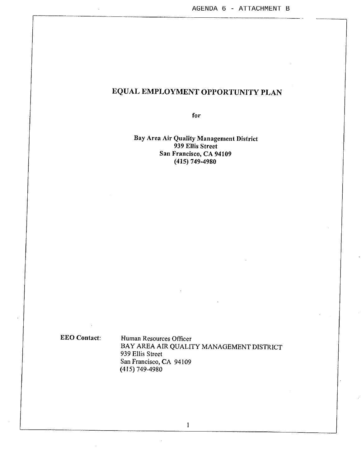for

### Bay Area Air Quality Management District 939 Ellis Street San Francisco, CA 94109  $(415)$  749-4980

**EEO Contact:** 

Human Resources Officer BAY AREA AIR QUALITY MANAGEMENT DISTRICT 939 Ellis Street San Francisco, CA 94109  $(415) 749 - 4980$ 

 $\mathbf{I}$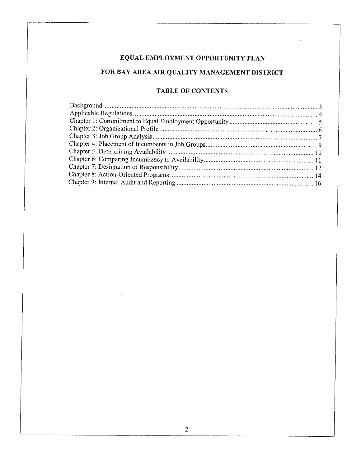# FOR BAY AREA AIR QUALITY MANAGEMENT DISTRICT

# **TABLE OF CONTENTS**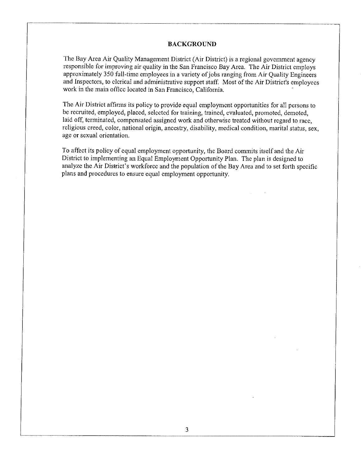#### **BACKGROUND**

The Bay Area Air Quality Management District (Air District) is a regional government agency responsible for improving air quality in the San Francisco Bay Area. The Air District employs approximately 350 full-time employees in a variety of jobs ranging from Air Quality Engineers and Inspectors, to clerical and administrative support staff. Most of the Air District's employees work in the main office located in San Francisco, California.

The Air District affirms its policy to provide equal employment opportunities for all persons to be recruited, employed, placed, selected for training, trained, evaluated, promoted, demoted, laid off, terminated, compensated assigned work and otherwise treated without regard to race, religious creed, color, national origin, ancestry, disability, medical condition, marital status, sex. age or sexual orientation.

To affect its policy of equal employment opportunity, the Board commits itself and the Air District to implementing an Equal Employment Opportunity Plan. The plan is designed to analyze the Air District's workforce and the population of the Bay Area and to set forth specific plans and procedures to ensure equal employment opportunity.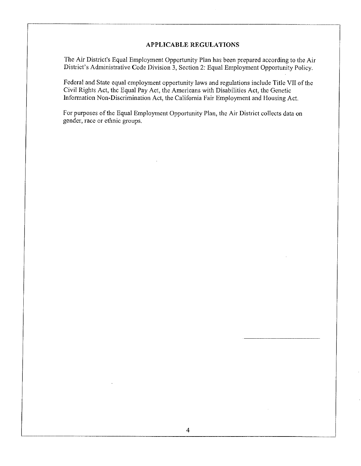### **APPLICABLE REGULATIONS**

The Air District's Equal Employment Opportunity Plan has been prepared according to the Air District's Administrative Code Division 3, Section 2: Equal Employment Opportunity Policy.

Federal and State equal employment opportunity laws and regulations include Title VII of the Civil Rights Act, the Equal Pay Act, the Americans with Disabilities Act, the Genetic Information Non-Discrimination Act, the California Fair Employment and Housing Act.

For purposes of the Equal Employment Opportunity Plan, the Air District collects data on gender, race or ethnic groups.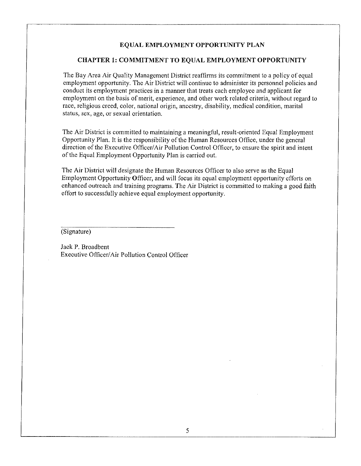### CHAPTER 1: COMMITMENT TO EQUAL EMPLOYMENT OPPORTUNITY

The Bay Area Air Quality Management District reaffirms its commitment to a policy of equal employment opportunity. The Air District will continue to administer its personnel policies and conduct its employment practices in a manner that treats each employee and applicant for employment on the basis of merit, experience, and other work related criteria, without regard to race, religious creed, color, national origin, ancestry, disability, medical condition, marital status, sex, age, or sexual orientation.

The Air District is committed to maintaining a meaningful, result-oriented Equal Employment Opportunity Plan. It is the responsibility of the Human Resources Office, under the general direction of the Executive Officer/Air Pollution Control Officer, to ensure the spirit and intent of the Equal Employment Opportunity Plan is carried out.

The Air District will designate the Human Resources Officer to also serve as the Equal Employment Opportunity Officer, and will focus its equal employment opportunity efforts on enhanced outreach and training programs. The Air District is committed to making a good faith effort to successfully achieve equal employment opportunity.

(Signature)

Jack P. Broadbent Executive Officer/Air Pollution Control Officer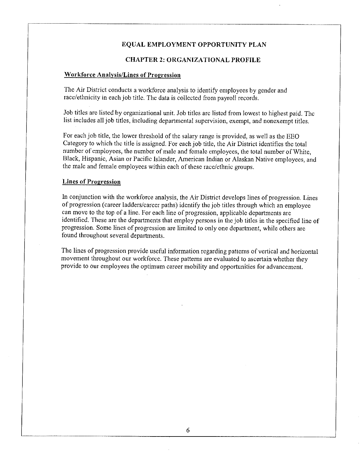#### **CHAPTER 2: ORGANIZATIONAL PROFILE**

#### **Workforce Analysis/Lines of Progression**

The Air District conducts a workforce analysis to identify employees by gender and race/ethnicity in each job title. The data is collected from payroll records.

Job titles are listed by organizational unit. Job titles are listed from lowest to highest paid. The list includes all job titles, including departmental supervision, exempt, and nonexempt titles.

For each job title, the lower threshold of the salary range is provided, as well as the EEO Category to which the title is assigned. For each job title, the Air District identifies the total number of employees, the number of male and female employees, the total number of White, Black, Hispanic, Asian or Pacific Islander, American Indian or Alaskan Native employees, and the male and female employees within each of these race/ethnic groups.

#### **Lines of Progression**

In conjunction with the workforce analysis, the Air District develops lines of progression. Lines of progression (career ladders/career paths) identify the job titles through which an employee can move to the top of a line. For each line of progression, applicable departments are identified. These are the departments that employ persons in the job titles in the specified line of progression. Some lines of progression are limited to only one department, while others are found throughout several departments.

The lines of progression provide useful information regarding patterns of vertical and horizontal movement throughout our workforce. These patterns are evaluated to ascertain whether they provide to our employees the optimum career mobility and opportunities for advancement.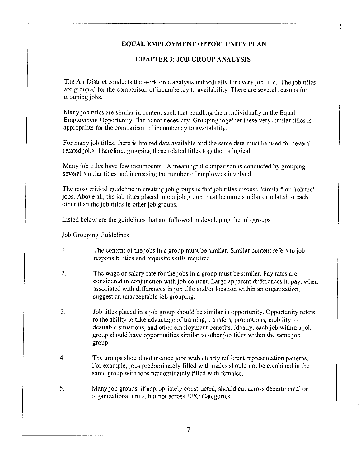# **CHAPTER 3: JOB GROUP ANALYSIS**

The Air District conducts the workforce analysis individually for every job title. The job titles are grouped for the comparison of incumbency to availability. There are several reasons for grouping jobs.

Many job titles are similar in content such that handling them individually in the Equal Employment Opportunity Plan is not necessary. Grouping together these very similar titles is appropriate for the comparison of incumbency to availability.

For many job titles, there is limited data available and the same data must be used for several related jobs. Therefore, grouping these related titles together is logical.

Many job titles have few incumbents. A meaningful comparison is conducted by grouping several similar titles and increasing the number of employees involved.

The most critical guideline in creating job groups is that job titles discuss "similar" or "related" jobs. Above all, the job titles placed into a job group must be more similar or related to each other than the job titles in other job groups.

Listed below are the guidelines that are followed in developing the job groups.

### **Job Grouping Guidelines**

- $1.$ The content of the jobs in a group must be similar. Similar content refers to job responsibilities and requisite skills required.
- 2. The wage or salary rate for the jobs in a group must be similar. Pay rates are considered in conjunction with job content. Large apparent differences in pay, when associated with differences in job title and/or location within an organization. suggest an unacceptable job grouping.
- $3.$ Job titles placed in a job group should be similar in opportunity. Opportunity refers to the ability to take advantage of training, transfers, promotions, mobility to desirable situations, and other employment benefits. Ideally, each job within a job group should have opportunities similar to other job titles within the same job group.
- $\overline{4}$ . The groups should not include jobs with clearly different representation patterns. For example, jobs predominately filled with males should not be combined in the same group with jobs predominately filled with females.
- 5. Many job groups, if appropriately constructed, should cut across departmental or organizational units, but not across EEO Categories.

7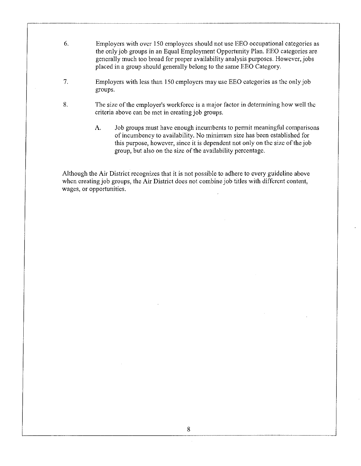- 6. Employers with over 150 employees should not use EEO occupational categories as the only job groups in an Equal Employment Opportunity Plan. EEO categories are generally much too broad for proper availability analysis purposes. However, jobs placed in a group should generally belong to the same EEO Category.
- $7.$ Employers with less than 150 employers may use EEO categories as the only job groups.
- 8. The size of the employer's workforce is a major factor in determining how well the criteria above can be met in creating job groups.
	- Job groups must have enough incumbents to permit meaningful comparisons A. of incumbency to availability. No minimum size has been established for this purpose, however, since it is dependent not only on the size of the job group, but also on the size of the availability percentage.

Although the Air District recognizes that it is not possible to adhere to every guideline above when creating job groups, the Air District does not combine job titles with different content, wages, or opportunities.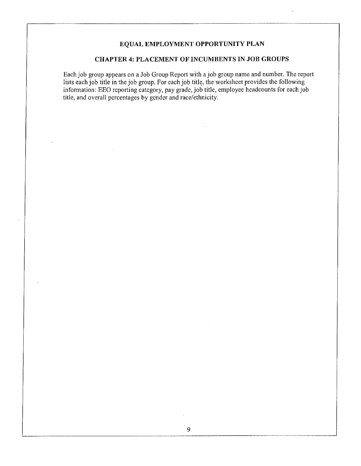### **CHAPTER 4: PLACEMENT OF INCUMBENTS IN JOB GROUPS**

Each job group appears on a Job Group Report with a job group name and number. The report lists each job title in the job group. For each job title, the worksheet provides the following information: EEO reporting category,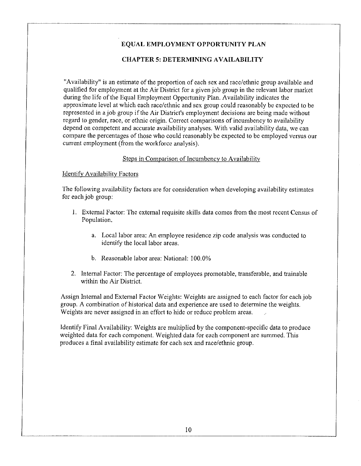### **CHAPTER 5: DETERMINING AVAILABILITY**

"Availability" is an estimate of the proportion of each sex and race/ethnic group available and qualified for employment at the Air District for a given job group in the relevant labor market during the life of the Equal Employment Opportunity Plan. Availability indicates the approximate level at which each race/ethnic and sex group could reasonably be expected to be represented in a job group if the Air District's employment decisions are being made without regard to gender, race, or ethnic origin. Correct comparisons of incumbency to availability depend on competent and accurate availability analyses. With valid availability data, we can compare the percentages of those who could reasonably be expected to be employed versus our current employment (from the workforce analysis).

### Steps in Comparison of Incumbency to Availability

### **Identify Availability Factors**

The following availability factors are for consideration when developing availability estimates for each job group:

- 1. External Factor: The external requisite skills data comes from the most recent Census of Population.
	- a. Local labor area: An employee residence zip code analysis was conducted to identify the local labor areas.
	- b. Reasonable labor area: National: 100.0%
- 2. Internal Factor: The percentage of employees promotable, transferable, and trainable within the Air District.

Assign Internal and External Factor Weights: Weights are assigned to each factor for each job group. A combination of historical data and experience are used to determine the weights. Weights are never assigned in an effort to hide or reduce problem areas.

Identify Final Availability: Weights are multiplied by the component-specific data to produce weighted data for each component. Weighted data for each component are summed. This produces a final availability estimate for each sex and race/ethnic group.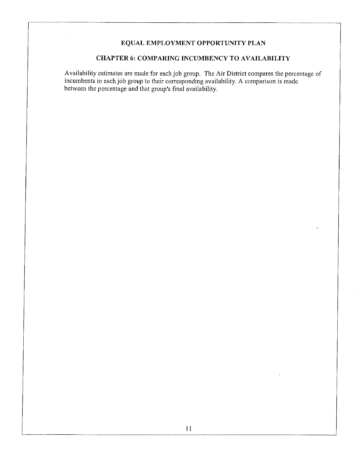# CHAPTER 6: COMPARING INCUMBENCY TO AVAILABILITY

Availability estimates are made for each job group. The Air District compares the percentage of incumbents in each job group to their corresponding availability. A comparison is made between the percentage and that group's final availability.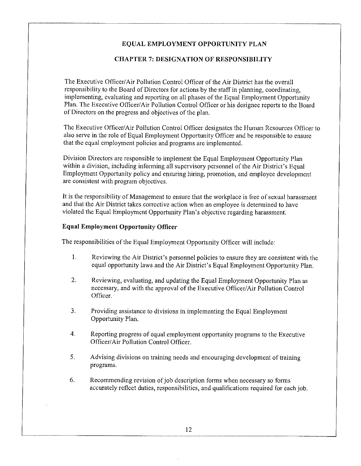### **CHAPTER 7: DESIGNATION OF RESPONSIBILITY**

The Executive Officer/Air Pollution Control Officer of the Air District has the overall responsibility to the Board of Directors for actions by the staff in planning, coordinating, implementing, evaluating and reporting on all phases of the Equal Employment Opportunity Plan. The Executive Officer/Air Pollution Control Officer or his designee reports to the Board of Directors on the progress and objectives of the plan.

The Executive Officer/Air Pollution Control Officer designates the Human Resources Officer to also serve in the role of Equal Employment Opportunity Officer and be responsible to ensure that the equal employment policies and programs are implemented.

Division Directors are responsible to implement the Equal Employment Opportunity Plan within a division, including informing all supervisory personnel of the Air District's Equal Employment Opportunity policy and ensuring hiring, promotion, and employee development are consistent with program objectives.

It is the responsibility of Management to ensure that the workplace is free of sexual harassment and that the Air District takes corrective action when an employee is determined to have violated the Equal Employment Opportunity Plan's objective regarding harassment.

### **Equal Employment Opportunity Officer**

The responsibilities of the Equal Employment Opportunity Officer will include:

- $\mathbf{1}$ . Reviewing the Air District's personnel policies to ensure they are consistent with the equal opportunity laws and the Air District's Equal Employment Opportunity Plan.
- $2.$ Reviewing, evaluating, and updating the Equal Employment Opportunity Plan as necessary, and with the approval of the Executive Officer/Air Pollution Control Officer.
- $3<sub>1</sub>$ Providing assistance to divisions in implementing the Equal Employment Opportunity Plan.
- $\overline{4}$ . Reporting progress of equal employment opportunity programs to the Executive Officer/Air Pollution Control Officer.
- 5. Advising divisions on training needs and encouraging development of training programs.
- 6. Recommending revision of job description forms when necessary so forms accurately reflect duties, responsibilities, and qualifications required for each job.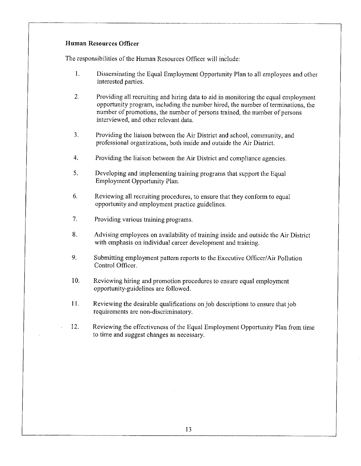### Human Resources Officer

The responsibilities of the Human Resources Officer will include:

- $\mathbf{1}$ . Disseminating the Equal Employment Opportunity Plan to all employees and other interested parties.
- $2.$ Providing all recruiting and hiring data to aid in monitoring the equal employment opportunity program, including the number hired, the number of terminations, the number of promotions, the number of persons trained, the number of persons interviewed, and other relevant data.
- 3. Providing the liaison between the Air District and school, community, and professional organizations, both inside and outside the Air District.
- $\overline{4}$ . Providing the liaison between the Air District and compliance agencies.
- 5. Developing and implementing training programs that support the Equal Employment Opportunity Plan.
- $6.$ Reviewing all recruiting procedures, to ensure that they conform to equal opportunity and employment practice guidelines.
- $7.$ Providing various training programs.
- 8. Advising employees on availability of training inside and outside the Air District with emphasis on individual career development and training.
- 9. Submitting employment pattern reports to the Executive Officer/Air Pollution Control Officer.
- $10.$ Reviewing hiring and promotion procedures to ensure equal employment opportunity-guidelines are followed.
- Reviewing the desirable qualifications on job descriptions to ensure that job  $11.$ requirements are non-discriminatory.
- 12. Reviewing the effectiveness of the Equal Employment Opportunity Plan from time to time and suggest changes as necessary.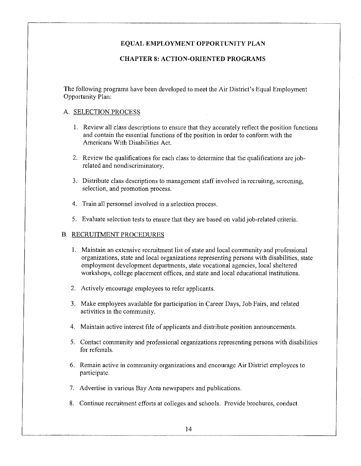### **CHAPTER 8: ACTION-ORIENTED PROGRAMS**

The following programs have been developed to meet the Air District's Equal Employment Opportunity Plan:

#### A. SELECTION PROCESS

- 1. Review all class descriptions to ensure that they accurately reflect the position functions and contain the essential functions of the position in order to conform with the Americans With Disabilities Act.
- 2. Review the qualifications for each class to determine that the qualifications are jobrelated and nondiscriminatory.
- 3. Distribute class descriptions to management staff involved in recruiting, screening, selection, and promotion process.
- 4. Train all personnel involved in a selection process.
- 5. Evaluate selection tests to ensure that they are based on valid job-related criteria.

### **B. RECRUITMENT PROCEDURES**

- 1. Maintain an extensive recruitment list of state and local community and professional organizations, state and local organizations representing persons with disabilities, state employment development departments, state vocational agencies, local sheltered workshops, college placement offices, and state and local educational institutions.
- 2. Actively encourage employees to refer applicants.
- 3. Make employees available for participation in Career Days, Job Fairs, and related activities in the community.
- 4. Maintain active interest file of applicants and distribute position announcements.
- 5. Contact community and professional organizations representing persons with disabilities for referrals.
- 6. Remain active in community organizations and encourage Air District employees to participate.
- 7. Advertise in various Bay Area newspapers and publications.
- 8. Continue recruitment efforts at colleges and schools. Provide brochures, conduct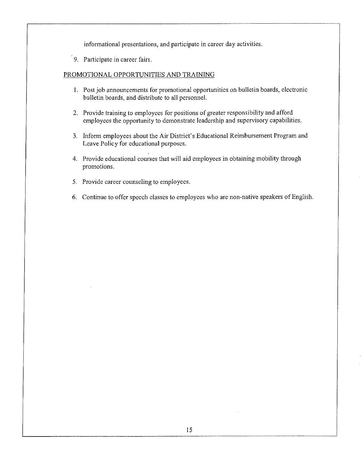informational presentations, and participate in career day activities.

9. Participate in career fairs.

# PROMOTIONAL OPPORTUNITIES AND TRAINING

- 1. Post job announcements for promotional opportunities on bulletin boards, electronic bulletin boards, and distribute to all personnel.
- 2. Provide training to employees for positions of greater responsibility and afford employees the opportunity to demonstrate leadership and supervisory capabilities.
- 3. Inform employees about the Air District's Educational Reimbursement Program and Leave Policy for educational purposes.
- 4. Provide educational courses that will aid employees in obtaining mobility through promotions.
- 5. Provide career counseling to employees.
- 6. Continue to offer speech classes to employees who are non-native speakers of English.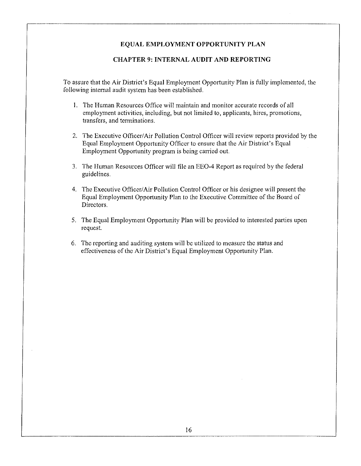#### **CHAPTER 9: INTERNAL AUDIT AND REPORTING**

To assure that the Air District's Equal Employment Opportunity Plan is fully implemented, the following internal audit system has been established.

- 1. The Human Resources Office will maintain and monitor accurate records of all employment activities, including, but not limited to, applicants, hires, promotions, transfers, and terminations.
- 2. The Executive Officer/Air Pollution Control Officer will review reports provided by the Equal Employment Opportunity Officer to ensure that the Air District's Equal Employment Opportunity program is being carried out.
- 3. The Human Resources Officer will file an EEO-4 Report as required by the federal guidelines.
- 4. The Executive Officer/Air Pollution Control Officer or his designee will present the Equal Employment Opportunity Plan to the Executive Committee of the Board of Directors.
- 5. The Equal Employment Opportunity Plan will be provided to interested parties upon request.
- 6. The reporting and auditing system will be utilized to measure the status and effectiveness of the Air District's Equal Employment Opportunity Plan.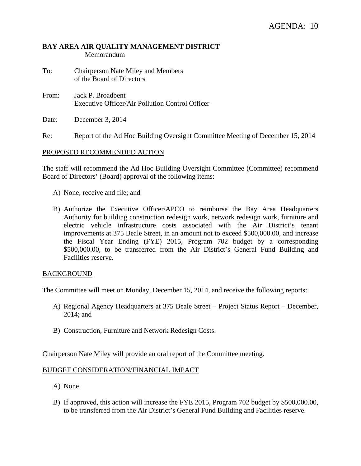# **BAY AREA AIR QUALITY MANAGEMENT DISTRICT**  Memorandum

- To: Chairperson Nate Miley and Members of the Board of Directors
- From: Jack P. Broadbent Executive Officer/Air Pollution Control Officer
- Date: December 3, 2014

Re: Report of the Ad Hoc Building Oversight Committee Meeting of December 15, 2014

# PROPOSED RECOMMENDED ACTION

The staff will recommend the Ad Hoc Building Oversight Committee (Committee) recommend Board of Directors' (Board) approval of the following items:

- A) None; receive and file; and
- B) Authorize the Executive Officer/APCO to reimburse the Bay Area Headquarters Authority for building construction redesign work, network redesign work, furniture and electric vehicle infrastructure costs associated with the Air District's tenant improvements at 375 Beale Street, in an amount not to exceed \$500,000.00, and increase the Fiscal Year Ending (FYE) 2015, Program 702 budget by a corresponding \$500,000.00, to be transferred from the Air District's General Fund Building and Facilities reserve.

### BACKGROUND

The Committee will meet on Monday, December 15, 2014, and receive the following reports:

- A) Regional Agency Headquarters at 375 Beale Street Project Status Report December, 2014; and
- B) Construction, Furniture and Network Redesign Costs.

Chairperson Nate Miley will provide an oral report of the Committee meeting.

### BUDGET CONSIDERATION/FINANCIAL IMPACT

- A) None.
- B) If approved, this action will increase the FYE 2015, Program 702 budget by \$500,000.00, to be transferred from the Air District's General Fund Building and Facilities reserve.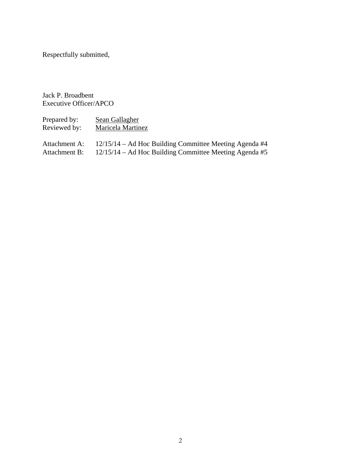Respectfully submitted,

Jack P. Broadbent Executive Officer/APCO

| Prepared by:<br>Reviewed by: | Sean Gallagher<br>Maricela Martinez                      |
|------------------------------|----------------------------------------------------------|
| Attachment A:                | 12/15/14 – Ad Hoc Building Committee Meeting Agenda #4   |
| Attachment B:                | $12/15/14$ – Ad Hoc Building Committee Meeting Agenda #5 |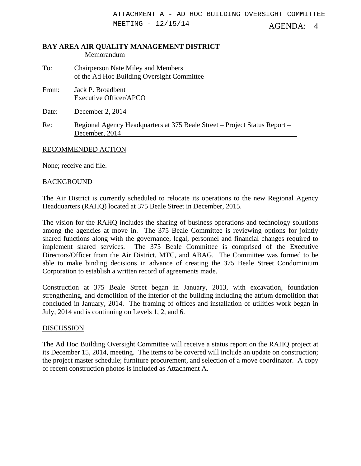# **BAY AREA AIR QUALITY MANAGEMENT DISTRICT**  Memorandum To: Chairperson Nate Miley and Members

| 10.   | Chall person in alle write y and will members<br>of the Ad Hoc Building Oversight Committee  |
|-------|----------------------------------------------------------------------------------------------|
| From: | Jack P. Broadbent<br>Executive Officer/APCO                                                  |
| Date: | December 2, 2014                                                                             |
| Re:   | Regional Agency Headquarters at 375 Beale Street – Project Status Report –<br>December, 2014 |

# RECOMMENDED ACTION

None; receive and file.

# BACKGROUND

The Air District is currently scheduled to relocate its operations to the new Regional Agency Headquarters (RAHQ) located at 375 Beale Street in December, 2015.

The vision for the RAHQ includes the sharing of business operations and technology solutions among the agencies at move in. The 375 Beale Committee is reviewing options for jointly shared functions along with the governance, legal, personnel and financial changes required to implement shared services. The 375 Beale Committee is comprised of the Executive Directors/Officer from the Air District, MTC, and ABAG. The Committee was formed to be able to make binding decisions in advance of creating the 375 Beale Street Condominium Corporation to establish a written record of agreements made.

Construction at 375 Beale Street began in January, 2013, with excavation, foundation strengthening, and demolition of the interior of the building including the atrium demolition that concluded in January, 2014. The framing of offices and installation of utilities work began in July, 2014 and is continuing on Levels 1, 2, and 6.

# DISCUSSION

The Ad Hoc Building Oversight Committee will receive a status report on the RAHQ project at its December 15, 2014, meeting. The items to be covered will include an update on construction; the project master schedule; furniture procurement, and selection of a move coordinator. A copy of recent construction photos is included as Attachment A.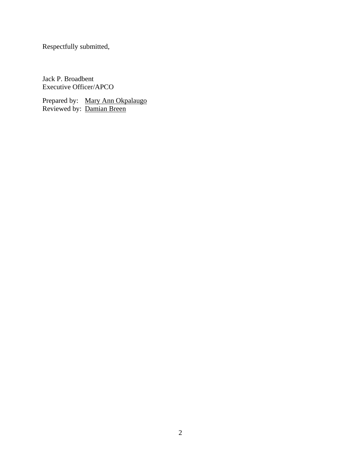Respectfully submitted,

Jack P. Broadbent Executive Officer/APCO

Prepared by: Mary Ann Okpalaugo Reviewed by: Damian Breen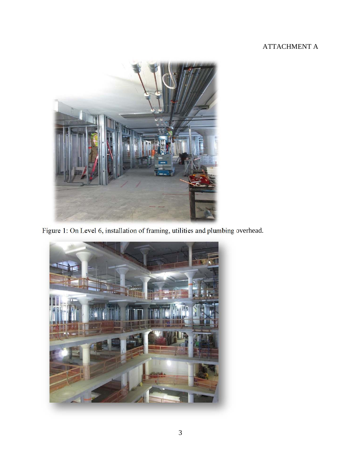# ATTACHMENT A



Figure 1: On Level 6, installation of framing, utilities and plumbing overhead.

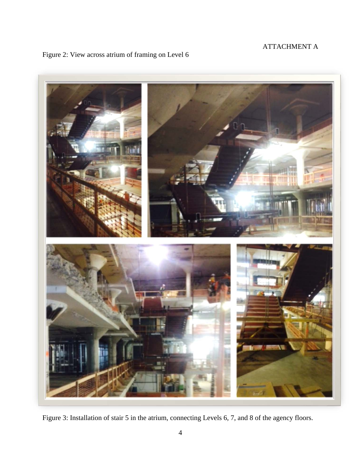# ATTACHMENT A





Figure 3: Installation of stair 5 in the atrium, connecting Levels 6, 7, and 8 of the agency floors.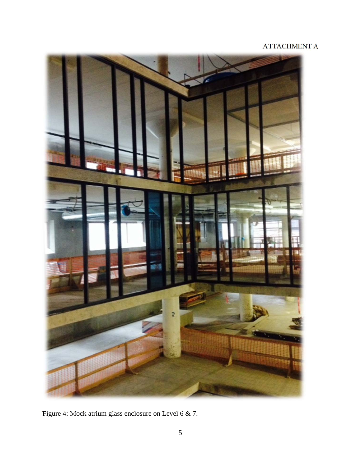# ATTACHMENT A



Figure 4: Mock atrium glass enclosure on Level 6 & 7.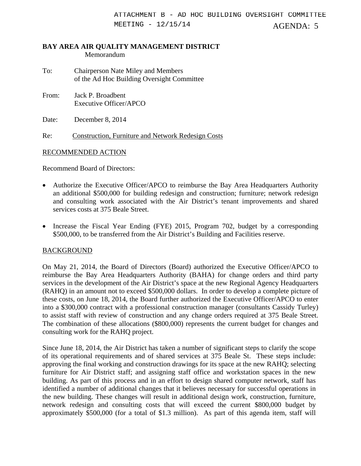### **BAY AREA AIR QUALITY MANAGEMENT DISTRICT**  Memorandum

- To: Chairperson Nate Miley and Members of the Ad Hoc Building Oversight Committee
- From: Jack P. Broadbent Executive Officer/APCO

Date: December 8, 2014

Re: Construction, Furniture and Network Redesign Costs

# RECOMMENDED ACTION

Recommend Board of Directors:

- Authorize the Executive Officer/APCO to reimburse the Bay Area Headquarters Authority an additional \$500,000 for building redesign and construction; furniture; network redesign and consulting work associated with the Air District's tenant improvements and shared services costs at 375 Beale Street.
- Increase the Fiscal Year Ending (FYE) 2015, Program 702, budget by a corresponding \$500,000, to be transferred from the Air District's Building and Facilities reserve.

# **BACKGROUND**

On May 21, 2014, the Board of Directors (Board) authorized the Executive Officer/APCO to reimburse the Bay Area Headquarters Authority (BAHA) for change orders and third party services in the development of the Air District's space at the new Regional Agency Headquarters (RAHQ) in an amount not to exceed \$500,000 dollars. In order to develop a complete picture of these costs, on June 18, 2014, the Board further authorized the Executive Officer/APCO to enter into a \$300,000 contract with a professional construction manager (consultants Cassidy Turley) to assist staff with review of construction and any change orders required at 375 Beale Street. The combination of these allocations (\$800,000) represents the current budget for changes and consulting work for the RAHQ project.

Since June 18, 2014, the Air District has taken a number of significant steps to clarify the scope of its operational requirements and of shared services at 375 Beale St. These steps include: approving the final working and construction drawings for its space at the new RAHQ; selecting furniture for Air District staff; and assigning staff office and workstation spaces in the new building. As part of this process and in an effort to design shared computer network, staff has identified a number of additional changes that it believes necessary for successful operations in the new building. These changes will result in additional design work, construction, furniture, network redesign and consulting costs that will exceed the current \$800,000 budget by approximately \$500,000 (for a total of \$1.3 million). As part of this agenda item, staff will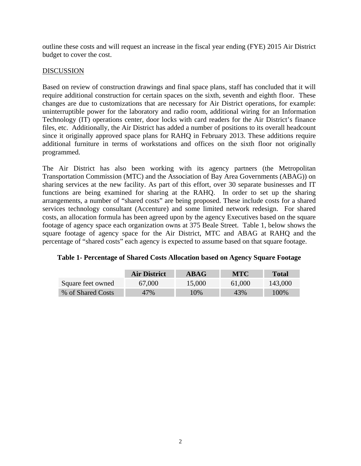outline these costs and will request an increase in the fiscal year ending (FYE) 2015 Air District budget to cover the cost.

# **DISCUSSION**

Based on review of construction drawings and final space plans, staff has concluded that it will require additional construction for certain spaces on the sixth, seventh and eighth floor. These changes are due to customizations that are necessary for Air District operations, for example: uninterruptible power for the laboratory and radio room, additional wiring for an Information Technology (IT) operations center, door locks with card readers for the Air District's finance files, etc. Additionally, the Air District has added a number of positions to its overall headcount since it originally approved space plans for RAHQ in February 2013. These additions require additional furniture in terms of workstations and offices on the sixth floor not originally programmed.

The Air District has also been working with its agency partners (the Metropolitan Transportation Commission (MTC) and the Association of Bay Area Governments (ABAG)) on sharing services at the new facility. As part of this effort, over 30 separate businesses and IT functions are being examined for sharing at the RAHQ. In order to set up the sharing arrangements, a number of "shared costs" are being proposed. These include costs for a shared services technology consultant (Accenture) and some limited network redesign. For shared costs, an allocation formula has been agreed upon by the agency Executives based on the square footage of agency space each organization owns at 375 Beale Street. Table 1, below shows the square footage of agency space for the Air District, MTC and ABAG at RAHQ and the percentage of "shared costs" each agency is expected to assume based on that square footage.

|                   | <b>Air District</b> | <b>ABAG</b> | <b>MTC</b> | <b>Total</b> |
|-------------------|---------------------|-------------|------------|--------------|
| Square feet owned | 67,000              | 15,000      | 61,000     | 143,000      |
| % of Shared Costs | 47%                 | $0\%$       | 43%        | 100%         |

# **Table 1- Percentage of Shared Costs Allocation based on Agency Square Footage**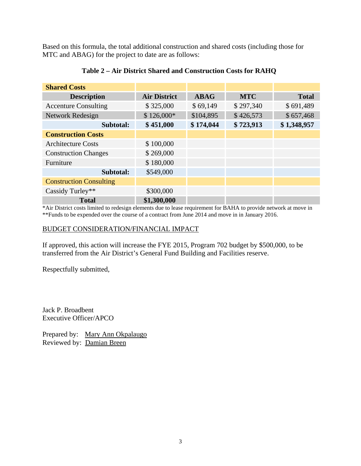Based on this formula, the total additional construction and shared costs (including those for MTC and ABAG) for the project to date are as follows:

| <b>Shared Costs</b>            |                     |             |            |              |
|--------------------------------|---------------------|-------------|------------|--------------|
| <b>Description</b>             | <b>Air District</b> | <b>ABAG</b> | <b>MTC</b> | <b>Total</b> |
| <b>Accenture Consulting</b>    | \$325,000           | \$69,149    | \$297,340  | \$691,489    |
| Network Redesign               | $$126,000*$         | \$104,895   | \$426,573  | \$657,468    |
| Subtotal:                      | \$451,000           | \$174,044   | \$723,913  | \$1,348,957  |
| <b>Construction Costs</b>      |                     |             |            |              |
| <b>Architecture Costs</b>      | \$100,000           |             |            |              |
| <b>Construction Changes</b>    | \$269,000           |             |            |              |
| Furniture                      | \$180,000           |             |            |              |
| Subtotal:                      | \$549,000           |             |            |              |
| <b>Construction Consulting</b> |                     |             |            |              |
| Cassidy Turley**               | \$300,000           |             |            |              |
| <b>Total</b>                   | \$1,300,000         |             |            |              |

# **Table 2 – Air District Shared and Construction Costs for RAHQ**

\*Air District costs limited to redesign elements due to lease requirement for BAHA to provide network at move in \*\*Funds to be expended over the course of a contract from June 2014 and move in in January 2016.

# BUDGET CONSIDERATION/FINANCIAL IMPACT

If approved, this action will increase the FYE 2015, Program 702 budget by \$500,000, to be transferred from the Air District's General Fund Building and Facilities reserve.

Respectfully submitted,

Jack P. Broadbent Executive Officer/APCO

Prepared by: Mary Ann Okpalaugo Reviewed by: Damian Breen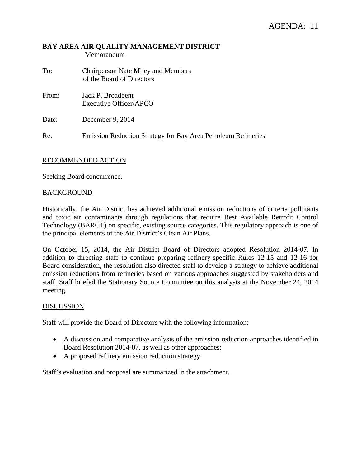### **BAY AREA AIR QUALITY MANAGEMENT DISTRICT**  Memorandum

- To: Chairperson Nate Miley and Members of the Board of Directors
- From: Jack P. Broadbent Executive Officer/APCO

Date: December 9, 2014

Re: Emission Reduction Strategy for Bay Area Petroleum Refineries

## RECOMMENDED ACTION

Seeking Board concurrence.

### **BACKGROUND**

Historically, the Air District has achieved additional emission reductions of criteria pollutants and toxic air contaminants through regulations that require Best Available Retrofit Control Technology (BARCT) on specific, existing source categories. This regulatory approach is one of the principal elements of the Air District's Clean Air Plans.

On October 15, 2014, the Air District Board of Directors adopted Resolution 2014-07. In addition to directing staff to continue preparing refinery-specific Rules 12-15 and 12-16 for Board consideration, the resolution also directed staff to develop a strategy to achieve additional emission reductions from refineries based on various approaches suggested by stakeholders and staff. Staff briefed the Stationary Source Committee on this analysis at the November 24, 2014 meeting.

### DISCUSSION

Staff will provide the Board of Directors with the following information:

- A discussion and comparative analysis of the emission reduction approaches identified in Board Resolution 2014-07, as well as other approaches;
- A proposed refinery emission reduction strategy.

Staff's evaluation and proposal are summarized in the attachment.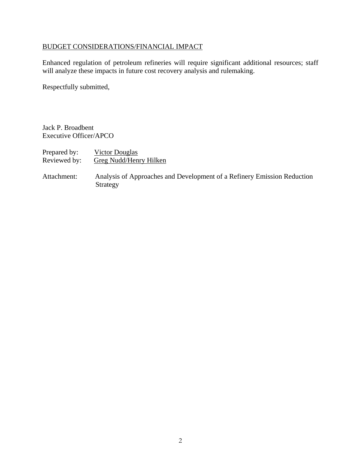# BUDGET CONSIDERATIONS/FINANCIAL IMPACT

Enhanced regulation of petroleum refineries will require significant additional resources; staff will analyze these impacts in future cost recovery analysis and rulemaking.

Respectfully submitted,

Jack P. Broadbent Executive Officer/APCO

| Prepared by: | Victor Douglas         |
|--------------|------------------------|
| Reviewed by: | Greg Nudd/Henry Hilken |

Attachment: Analysis of Approaches and Development of a Refinery Emission Reduction Strategy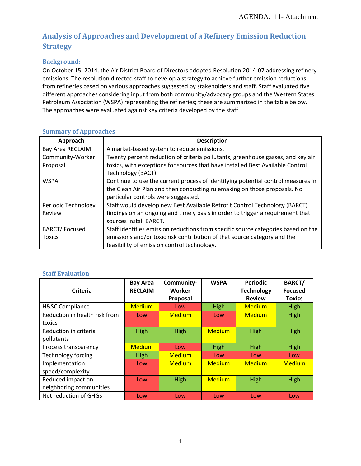# **Analysis of Approaches and Development of a Refinery Emission Reduction Strategy**

## **Background:**

On October 15, 2014, the Air District Board of Directors adopted Resolution 2014‐07 addressing refinery emissions. The resolution directed staff to develop a strategy to achieve further emission reductions from refineries based on various approaches suggested by stakeholders and staff. Staff evaluated five different approaches considering input from both community/advocacy groups and the Western States Petroleum Association (WSPA) representing the refineries; these are summarized in the table below. The approaches were evaluated against key criteria developed by the staff.

| Approach                | <b>Description</b>                                                                |
|-------------------------|-----------------------------------------------------------------------------------|
| <b>Bay Area RECLAIM</b> | A market-based system to reduce emissions.                                        |
| Community-Worker        | Twenty percent reduction of criteria pollutants, greenhouse gasses, and key air   |
| Proposal                | toxics, with exceptions for sources that have installed Best Available Control    |
|                         | Technology (BACT).                                                                |
| <b>WSPA</b>             | Continue to use the current process of identifying potential control measures in  |
|                         | the Clean Air Plan and then conducting rulemaking on those proposals. No          |
|                         | particular controls were suggested.                                               |
| Periodic Technology     | Staff would develop new Best Available Retrofit Control Technology (BARCT)        |
| Review                  | findings on an ongoing and timely basis in order to trigger a requirement that    |
|                         | sources install BARCT.                                                            |
| <b>BARCT/Focused</b>    | Staff identifies emission reductions from specific source categories based on the |
| <b>Toxics</b>           | emissions and/or toxic risk contribution of that source category and the          |
|                         | feasibility of emission control technology.                                       |

## **Summary of Approaches**

## **Staff Evaluation**

| Criteria                      | <b>Bay Area</b><br><b>RECLAIM</b> | Community-<br>Worker | <b>WSPA</b>   | <b>Periodic</b><br><b>Technology</b> | <b>BARCT/</b><br><b>Focused</b> |
|-------------------------------|-----------------------------------|----------------------|---------------|--------------------------------------|---------------------------------|
|                               |                                   | Proposal             |               | <b>Review</b>                        | <b>Toxics</b>                   |
| <b>H&amp;SC Compliance</b>    | <b>Medium</b>                     | <b>Low</b>           | High          | <b>Medium</b>                        | High                            |
| Reduction in health risk from | Low                               | <b>Medium</b>        | Low           | <b>Medium</b>                        | High                            |
| toxics                        |                                   |                      |               |                                      |                                 |
| Reduction in criteria         | High                              | High                 | <b>Medium</b> | High                                 | High                            |
| pollutants                    |                                   |                      |               |                                      |                                 |
| Process transparency          | <b>Medium</b>                     | Low                  | High          | High                                 | High                            |
| Technology forcing            | High                              | <b>Medium</b>        | Low           | Low                                  | Low                             |
| Implementation                | Low                               | <b>Medium</b>        | <b>Medium</b> | <b>Medium</b>                        | <b>Medium</b>                   |
| speed/complexity              |                                   |                      |               |                                      |                                 |
| Reduced impact on             | Low                               | High                 | <b>Medium</b> | High                                 | High                            |
| neighboring communities       |                                   |                      |               |                                      |                                 |
| Net reduction of GHGs         | Low                               | Low                  | Low           | Low                                  | Low                             |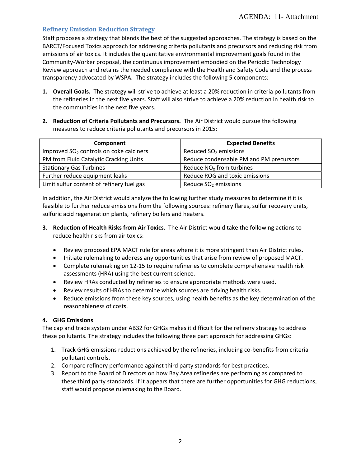### **Refinery Emission Reduction Strategy**

Staff proposes a strategy that blends the best of the suggested approaches. The strategy is based on the BARCT/Focused Toxics approach for addressing criteria pollutants and precursors and reducing risk from emissions of air toxics. It includes the quantitative environmental improvement goals found in the Community‐Worker proposal, the continuous improvement embodied on the Periodic Technology Review approach and retains the needed compliance with the Health and Safety Code and the process transparency advocated by WSPA. The strategy includes the following 5 components:

- **1. Overall Goals.** The strategy will strive to achieve at least a 20% reduction in criteria pollutants from the refineries in the next five years. Staff will also strive to achieve a 20% reduction in health risk to the communities in the next five years.
- **2. Reduction of Criteria Pollutants and Precursors.** The Air District would pursue the following measures to reduce criteria pollutants and precursors in 2015:

| Component                                 | <b>Expected Benefits</b>                |  |  |
|-------------------------------------------|-----------------------------------------|--|--|
| Improved $SO2$ controls on coke calciners | Reduced $SO2$ emissions                 |  |  |
| PM from Fluid Catalytic Cracking Units    | Reduce condensable PM and PM precursors |  |  |
| <b>Stationary Gas Turbines</b>            | Reduce $NOx$ from turbines              |  |  |
| Further reduce equipment leaks            | Reduce ROG and toxic emissions          |  |  |
| Limit sulfur content of refinery fuel gas | Reduce $SO2$ emissions                  |  |  |

In addition, the Air District would analyze the following further study measures to determine if it is feasible to further reduce emissions from the following sources: refinery flares, sulfur recovery units, sulfuric acid regeneration plants, refinery boilers and heaters.

- **3. Reduction of Health Risks from Air Toxics.** The Air District would take the following actions to reduce health risks from air toxics:
	- Review proposed EPA MACT rule for areas where it is more stringent than Air District rules.
	- Initiate rulemaking to address any opportunities that arise from review of proposed MACT.
	- Complete rulemaking on 12-15 to require refineries to complete comprehensive health risk assessments (HRA) using the best current science.
	- Review HRAs conducted by refineries to ensure appropriate methods were used.
	- Review results of HRAs to determine which sources are driving health risks.
	- Reduce emissions from these key sources, using health benefits as the key determination of the reasonableness of costs.

#### **4. GHG Emissions**

The cap and trade system under AB32 for GHGs makes it difficult for the refinery strategy to address these pollutants. The strategy includes the following three part approach for addressing GHGs:

- 1. Track GHG emissions reductions achieved by the refineries, including co-benefits from criteria pollutant controls.
- 2. Compare refinery performance against third party standards for best practices.
- 3. Report to the Board of Directors on how Bay Area refineries are performing as compared to these third party standards. If it appears that there are further opportunities for GHG reductions, staff would propose rulemaking to the Board.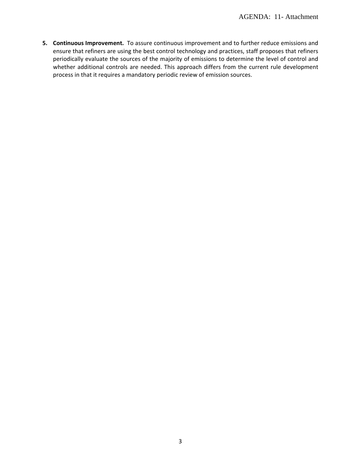**5. Continuous Improvement.** To assure continuous improvement and to further reduce emissions and ensure that refiners are using the best control technology and practices, staff proposes that refiners periodically evaluate the sources of the majority of emissions to determine the level of control and whether additional controls are needed. This approach differs from the current rule development process in that it requires a mandatory periodic review of emission sources.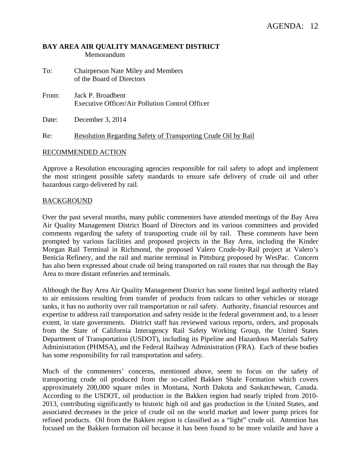### **BAY AREA AIR QUALITY MANAGEMENT DISTRICT**  Memorandum

- To: Chairperson Nate Miley and Members of the Board of Directors
- From: Jack P. Broadbent Executive Officer/Air Pollution Control Officer

Date: December 3, 2014

Re: Resolution Regarding Safety of Transporting Crude Oil by Rail

#### RECOMMENDED ACTION

Approve a Resolution encouraging agencies responsible for rail safety to adopt and implement the most stringent possible safety standards to ensure safe delivery of crude oil and other hazardous cargo delivered by rail.

#### BACKGROUND

Over the past several months, many public commenters have attended meetings of the Bay Area Air Quality Management District Board of Directors and its various committees and provided comments regarding the safety of transporting crude oil by rail. These comments have been prompted by various facilities and proposed projects in the Bay Area, including the Kinder Morgan Rail Terminal in Richmond, the proposed Valero Crude-by-Rail project at Valero's Benicia Refinery, and the rail and marine terminal in Pittsburg proposed by WesPac. Concern has also been expressed about crude oil being transported on rail routes that run through the Bay Area to more distant refineries and terminals.

Although the Bay Area Air Quality Management District has some limited legal authority related to air emissions resulting from transfer of products from railcars to other vehicles or storage tanks, it has no authority over rail transportation or rail safety. Authority, financial resources and expertise to address rail transportation and safety reside in the federal government and, to a lesser extent, in state governments. District staff has reviewed various reports, orders, and proposals from the State of California Interagency Rail Safety Working Group, the United States Department of Transportation (USDOT), including its Pipeline and Hazardous Materials Safety Administration (PHMSA), and the Federal Railway Administration (FRA). Each of these bodies has some responsibility for rail transportation and safety.

Much of the commenters' concerns, mentioned above, seem to focus on the safety of transporting crude oil produced from the so-called Bakken Shale Formation which covers approximately 200,000 square miles in Montana, North Dakota and Saskatchewan, Canada. According to the USDOT, oil production in the Bakken region had nearly tripled from 2010- 2013, contributing significantly to historic high oil and gas production in the United States, and associated decreases in the price of crude oil on the world market and lower pump prices for refined products. Oil from the Bakken region is classified as a "light" crude oil. Attention has focused on the Bakken formation oil because it has been found to be more volatile and have a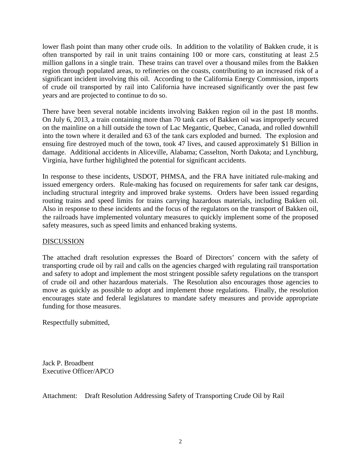lower flash point than many other crude oils. In addition to the volatility of Bakken crude, it is often transported by rail in unit trains containing 100 or more cars, constituting at least 2.5 million gallons in a single train. These trains can travel over a thousand miles from the Bakken region through populated areas, to refineries on the coasts, contributing to an increased risk of a significant incident involving this oil. According to the California Energy Commission, imports of crude oil transported by rail into California have increased significantly over the past few years and are projected to continue to do so.

There have been several notable incidents involving Bakken region oil in the past 18 months. On July 6, 2013, a train containing more than 70 tank cars of Bakken oil was improperly secured on the mainline on a hill outside the town of Lac Megantic, Quebec, Canada, and rolled downhill into the town where it derailed and 63 of the tank cars exploded and burned. The explosion and ensuing fire destroyed much of the town, took 47 lives, and caused approximately \$1 Billion in damage. Additional accidents in Aliceville, Alabama; Casselton, North Dakota; and Lynchburg, Virginia, have further highlighted the potential for significant accidents.

In response to these incidents, USDOT, PHMSA, and the FRA have initiated rule-making and issued emergency orders. Rule-making has focused on requirements for safer tank car designs, including structural integrity and improved brake systems. Orders have been issued regarding routing trains and speed limits for trains carrying hazardous materials, including Bakken oil. Also in response to these incidents and the focus of the regulators on the transport of Bakken oil, the railroads have implemented voluntary measures to quickly implement some of the proposed safety measures, such as speed limits and enhanced braking systems.

## DISCUSSION

The attached draft resolution expresses the Board of Directors' concern with the safety of transporting crude oil by rail and calls on the agencies charged with regulating rail transportation and safety to adopt and implement the most stringent possible safety regulations on the transport of crude oil and other hazardous materials. The Resolution also encourages those agencies to move as quickly as possible to adopt and implement those regulations. Finally, the resolution encourages state and federal legislatures to mandate safety measures and provide appropriate funding for those measures.

Respectfully submitted,

Jack P. Broadbent Executive Officer/APCO

Attachment: Draft Resolution Addressing Safety of Transporting Crude Oil by Rail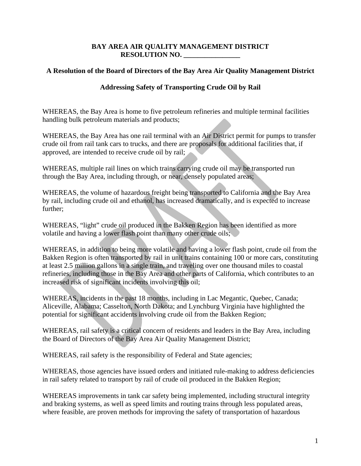## **BAY AREA AIR QUALITY MANAGEMENT DISTRICT RESOLUTION NO. \_\_\_\_\_\_\_\_\_\_\_\_\_\_\_\_**

## **A Resolution of the Board of Directors of the Bay Area Air Quality Management District**

## **Addressing Safety of Transporting Crude Oil by Rail**

WHEREAS, the Bay Area is home to five petroleum refineries and multiple terminal facilities handling bulk petroleum materials and products;

WHEREAS, the Bay Area has one rail terminal with an Air District permit for pumps to transfer crude oil from rail tank cars to trucks, and there are proposals for additional facilities that, if approved, are intended to receive crude oil by rail;

WHEREAS, multiple rail lines on which trains carrying crude oil may be transported run through the Bay Area, including through, or near, densely populated areas;

WHEREAS, the volume of hazardous freight being transported to California and the Bay Area by rail, including crude oil and ethanol, has increased dramatically, and is expected to increase further;

WHEREAS, "light" crude oil produced in the Bakken Region has been identified as more volatile and having a lower flash point than many other crude oils;

WHEREAS, in addition to being more volatile and having a lower flash point, crude oil from the Bakken Region is often transported by rail in unit trains containing 100 or more cars, constituting at least 2.5 million gallons in a single train, and traveling over one thousand miles to coastal refineries, including those in the Bay Area and other parts of California, which contributes to an increased risk of significant incidents involving this oil;

WHEREAS, incidents in the past 18 months, including in Lac Megantic, Quebec, Canada; Aliceville, Alabama; Casselton, North Dakota; and Lynchburg Virginia have highlighted the potential for significant accidents involving crude oil from the Bakken Region;

WHEREAS, rail safety is a critical concern of residents and leaders in the Bay Area, including the Board of Directors of the Bay Area Air Quality Management District;

WHEREAS, rail safety is the responsibility of Federal and State agencies;

WHEREAS, those agencies have issued orders and initiated rule-making to address deficiencies in rail safety related to transport by rail of crude oil produced in the Bakken Region;

WHEREAS improvements in tank car safety being implemented, including structural integrity and braking systems, as well as speed limits and routing trains through less populated areas, where feasible, are proven methods for improving the safety of transportation of hazardous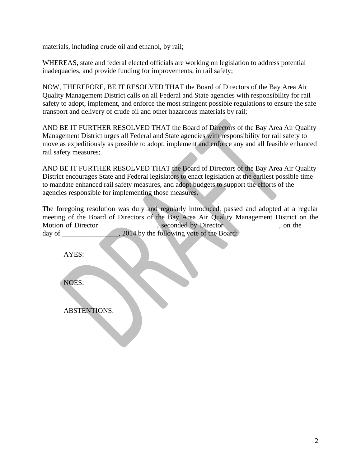materials, including crude oil and ethanol, by rail;

WHEREAS, state and federal elected officials are working on legislation to address potential inadequacies, and provide funding for improvements, in rail safety;

NOW, THEREFORE, BE IT RESOLVED THAT the Board of Directors of the Bay Area Air Quality Management District calls on all Federal and State agencies with responsibility for rail safety to adopt, implement, and enforce the most stringent possible regulations to ensure the safe transport and delivery of crude oil and other hazardous materials by rail;

AND BE IT FURTHER RESOLVED THAT the Board of Directors of the Bay Area Air Quality Management District urges all Federal and State agencies with responsibility for rail safety to move as expeditiously as possible to adopt, implement and enforce any and all feasible enhanced rail safety measures;

AND BE IT FURTHER RESOLVED THAT the Board of Directors of the Bay Area Air Quality District encourages State and Federal legislators to enact legislation at the earliest possible time to mandate enhanced rail safety measures, and adopt budgets to support the efforts of the agencies responsible for implementing those measures.

The foregoing resolution was duly and regularly introduced, passed and adopted at a regular meeting of the Board of Directors of the Bay Area Air Quality Management District on the Motion of Director \_\_\_\_\_\_\_\_\_\_\_\_, seconded by Director \_\_\_\_\_\_\_\_\_\_, on the \_\_\_\_\_ day of 2014 by the following vote of the Board:

AYES:

NOES:

ABSTENTIONS: